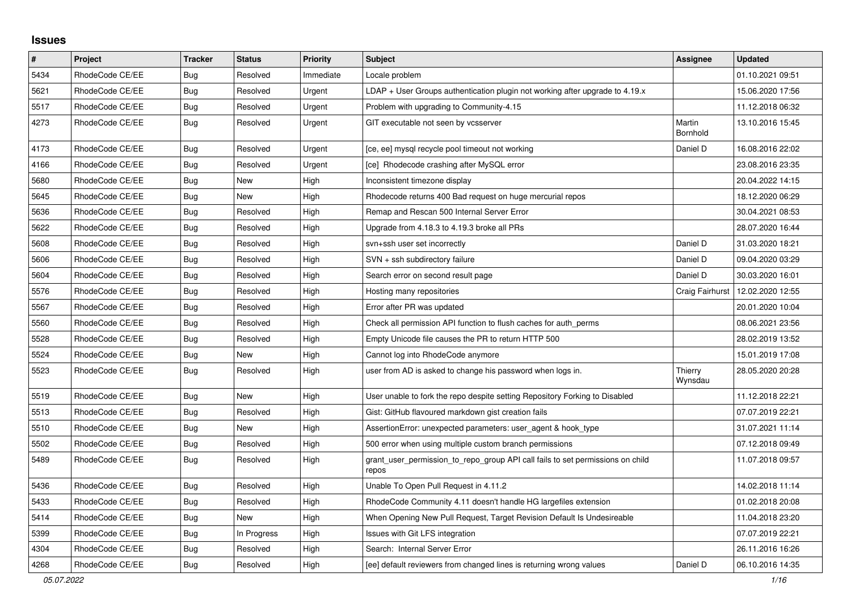## **Issues**

| $\vert$ # | Project         | <b>Tracker</b> | <b>Status</b> | <b>Priority</b> | <b>Subject</b>                                                                          | Assignee           | <b>Updated</b>   |
|-----------|-----------------|----------------|---------------|-----------------|-----------------------------------------------------------------------------------------|--------------------|------------------|
| 5434      | RhodeCode CE/EE | <b>Bug</b>     | Resolved      | Immediate       | Locale problem                                                                          |                    | 01.10.2021 09:51 |
| 5621      | RhodeCode CE/EE | <b>Bug</b>     | Resolved      | Urgent          | $LDAP + User Groups$ authentication plugin not working after upgrade to 4.19. $x$       |                    | 15.06.2020 17:56 |
| 5517      | RhodeCode CE/EE | Bug            | Resolved      | Urgent          | Problem with upgrading to Community-4.15                                                |                    | 11.12.2018 06:32 |
| 4273      | RhodeCode CE/EE | <b>Bug</b>     | Resolved      | Urgent          | GIT executable not seen by vcsserver                                                    | Martin<br>Bornhold | 13.10.2016 15:45 |
| 4173      | RhodeCode CE/EE | Bug            | Resolved      | Urgent          | [ce, ee] mysql recycle pool timeout not working                                         | Daniel D           | 16.08.2016 22:02 |
| 4166      | RhodeCode CE/EE | Bug            | Resolved      | Urgent          | [ce] Rhodecode crashing after MySQL error                                               |                    | 23.08.2016 23:35 |
| 5680      | RhodeCode CE/EE | Bug            | New           | High            | Inconsistent timezone display                                                           |                    | 20.04.2022 14:15 |
| 5645      | RhodeCode CE/EE | <b>Bug</b>     | New           | High            | Rhodecode returns 400 Bad request on huge mercurial repos                               |                    | 18.12.2020 06:29 |
| 5636      | RhodeCode CE/EE | Bug            | Resolved      | High            | Remap and Rescan 500 Internal Server Error                                              |                    | 30.04.2021 08:53 |
| 5622      | RhodeCode CE/EE | Bug            | Resolved      | High            | Upgrade from 4.18.3 to 4.19.3 broke all PRs                                             |                    | 28.07.2020 16:44 |
| 5608      | RhodeCode CE/EE | Bug            | Resolved      | High            | svn+ssh user set incorrectly                                                            | Daniel D           | 31.03.2020 18:21 |
| 5606      | RhodeCode CE/EE | Bug            | Resolved      | High            | SVN + ssh subdirectory failure                                                          | Daniel D           | 09.04.2020 03:29 |
| 5604      | RhodeCode CE/EE | <b>Bug</b>     | Resolved      | High            | Search error on second result page                                                      | Daniel D           | 30.03.2020 16:01 |
| 5576      | RhodeCode CE/EE | <b>Bug</b>     | Resolved      | High            | Hosting many repositories                                                               | Craig Fairhurst    | 12.02.2020 12:55 |
| 5567      | RhodeCode CE/EE | <b>Bug</b>     | Resolved      | High            | Error after PR was updated                                                              |                    | 20.01.2020 10:04 |
| 5560      | RhodeCode CE/EE | <b>Bug</b>     | Resolved      | High            | Check all permission API function to flush caches for auth_perms                        |                    | 08.06.2021 23:56 |
| 5528      | RhodeCode CE/EE | <b>Bug</b>     | Resolved      | High            | Empty Unicode file causes the PR to return HTTP 500                                     |                    | 28.02.2019 13:52 |
| 5524      | RhodeCode CE/EE | Bug            | <b>New</b>    | High            | Cannot log into RhodeCode anymore                                                       |                    | 15.01.2019 17:08 |
| 5523      | RhodeCode CE/EE | Bug            | Resolved      | High            | user from AD is asked to change his password when logs in.                              | Thierry<br>Wynsdau | 28.05.2020 20:28 |
| 5519      | RhodeCode CE/EE | Bug            | <b>New</b>    | High            | User unable to fork the repo despite setting Repository Forking to Disabled             |                    | 11.12.2018 22:21 |
| 5513      | RhodeCode CE/EE | Bug            | Resolved      | High            | Gist: GitHub flavoured markdown gist creation fails                                     |                    | 07.07.2019 22:21 |
| 5510      | RhodeCode CE/EE | <b>Bug</b>     | <b>New</b>    | High            | AssertionError: unexpected parameters: user_agent & hook_type                           |                    | 31.07.2021 11:14 |
| 5502      | RhodeCode CE/EE | Bug            | Resolved      | High            | 500 error when using multiple custom branch permissions                                 |                    | 07.12.2018 09:49 |
| 5489      | RhodeCode CE/EE | Bug            | Resolved      | High            | grant user permission to repo group API call fails to set permissions on child<br>repos |                    | 11.07.2018 09:57 |
| 5436      | RhodeCode CE/EE | Bug            | Resolved      | High            | Unable To Open Pull Request in 4.11.2                                                   |                    | 14.02.2018 11:14 |
| 5433      | RhodeCode CE/EE | Bug            | Resolved      | High            | RhodeCode Community 4.11 doesn't handle HG largefiles extension                         |                    | 01.02.2018 20:08 |
| 5414      | RhodeCode CE/EE | <b>Bug</b>     | <b>New</b>    | High            | When Opening New Pull Request, Target Revision Default Is Undesireable                  |                    | 11.04.2018 23:20 |
| 5399      | RhodeCode CE/EE | <b>Bug</b>     | In Progress   | High            | Issues with Git LFS integration                                                         |                    | 07.07.2019 22:21 |
| 4304      | RhodeCode CE/EE | Bug            | Resolved      | High            | Search: Internal Server Error                                                           |                    | 26.11.2016 16:26 |
| 4268      | RhodeCode CE/EE | Bug            | Resolved      | High            | [ee] default reviewers from changed lines is returning wrong values                     | Daniel D           | 06.10.2016 14:35 |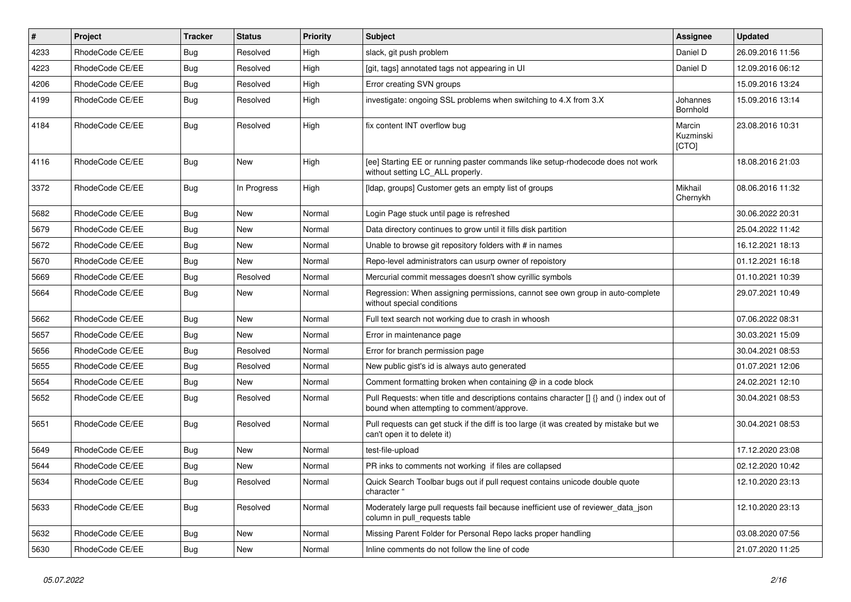| #    | Project         | <b>Tracker</b> | <b>Status</b> | <b>Priority</b> | <b>Subject</b>                                                                                                                       | Assignee                     | <b>Updated</b>   |
|------|-----------------|----------------|---------------|-----------------|--------------------------------------------------------------------------------------------------------------------------------------|------------------------------|------------------|
| 4233 | RhodeCode CE/EE | Bug            | Resolved      | High            | slack, git push problem                                                                                                              | Daniel D                     | 26.09.2016 11:56 |
| 4223 | RhodeCode CE/EE | <b>Bug</b>     | Resolved      | High            | [git, tags] annotated tags not appearing in UI                                                                                       | Daniel D                     | 12.09.2016 06:12 |
| 4206 | RhodeCode CE/EE | Bug            | Resolved      | High            | Error creating SVN groups                                                                                                            |                              | 15.09.2016 13:24 |
| 4199 | RhodeCode CE/EE | Bug            | Resolved      | High            | investigate: ongoing SSL problems when switching to 4.X from 3.X                                                                     | Johannes<br>Bornhold         | 15.09.2016 13:14 |
| 4184 | RhodeCode CE/EE | Bug            | Resolved      | High            | fix content INT overflow bug                                                                                                         | Marcin<br>Kuzminski<br>[CTO] | 23.08.2016 10:31 |
| 4116 | RhodeCode CE/EE | Bug            | New           | High            | [ee] Starting EE or running paster commands like setup-rhodecode does not work<br>without setting LC_ALL properly.                   |                              | 18.08.2016 21:03 |
| 3372 | RhodeCode CE/EE | Bug            | In Progress   | High            | [Idap, groups] Customer gets an empty list of groups                                                                                 | Mikhail<br>Chernykh          | 08.06.2016 11:32 |
| 5682 | RhodeCode CE/EE | Bug            | <b>New</b>    | Normal          | Login Page stuck until page is refreshed                                                                                             |                              | 30.06.2022 20:31 |
| 5679 | RhodeCode CE/EE | Bug            | New           | Normal          | Data directory continues to grow until it fills disk partition                                                                       |                              | 25.04.2022 11:42 |
| 5672 | RhodeCode CE/EE | <b>Bug</b>     | New           | Normal          | Unable to browse git repository folders with # in names                                                                              |                              | 16.12.2021 18:13 |
| 5670 | RhodeCode CE/EE | Bug            | New           | Normal          | Repo-level administrators can usurp owner of repoistory                                                                              |                              | 01.12.2021 16:18 |
| 5669 | RhodeCode CE/EE | Bug            | Resolved      | Normal          | Mercurial commit messages doesn't show cyrillic symbols                                                                              |                              | 01.10.2021 10:39 |
| 5664 | RhodeCode CE/EE | Bug            | New           | Normal          | Regression: When assigning permissions, cannot see own group in auto-complete<br>without special conditions                          |                              | 29.07.2021 10:49 |
| 5662 | RhodeCode CE/EE | Bug            | New           | Normal          | Full text search not working due to crash in whoosh                                                                                  |                              | 07.06.2022 08:31 |
| 5657 | RhodeCode CE/EE | Bug            | <b>New</b>    | Normal          | Error in maintenance page                                                                                                            |                              | 30.03.2021 15:09 |
| 5656 | RhodeCode CE/EE | Bug            | Resolved      | Normal          | Error for branch permission page                                                                                                     |                              | 30.04.2021 08:53 |
| 5655 | RhodeCode CE/EE | <b>Bug</b>     | Resolved      | Normal          | New public gist's id is always auto generated                                                                                        |                              | 01.07.2021 12:06 |
| 5654 | RhodeCode CE/EE | <b>Bug</b>     | New           | Normal          | Comment formatting broken when containing @ in a code block                                                                          |                              | 24.02.2021 12:10 |
| 5652 | RhodeCode CE/EE | Bug            | Resolved      | Normal          | Pull Requests: when title and descriptions contains character [] {} and () index out of<br>bound when attempting to comment/approve. |                              | 30.04.2021 08:53 |
| 5651 | RhodeCode CE/EE | Bug            | Resolved      | Normal          | Pull requests can get stuck if the diff is too large (it was created by mistake but we<br>can't open it to delete it)                |                              | 30.04.2021 08:53 |
| 5649 | RhodeCode CE/EE | Bug            | <b>New</b>    | Normal          | test-file-upload                                                                                                                     |                              | 17.12.2020 23:08 |
| 5644 | RhodeCode CE/EE | Bug            | New           | Normal          | PR inks to comments not working if files are collapsed                                                                               |                              | 02.12.2020 10:42 |
| 5634 | RhodeCode CE/EE | <b>Bug</b>     | Resolved      | Normal          | Quick Search Toolbar bugs out if pull request contains unicode double quote<br>character "                                           |                              | 12.10.2020 23:13 |
| 5633 | RhodeCode CE/EE | <b>Bug</b>     | Resolved      | Normal          | Moderately large pull requests fail because inefficient use of reviewer_data_json<br>column in pull requests table                   |                              | 12.10.2020 23:13 |
| 5632 | RhodeCode CE/EE | <b>Bug</b>     | New           | Normal          | Missing Parent Folder for Personal Repo lacks proper handling                                                                        |                              | 03.08.2020 07:56 |
| 5630 | RhodeCode CE/EE | <b>Bug</b>     | New           | Normal          | Inline comments do not follow the line of code                                                                                       |                              | 21.07.2020 11:25 |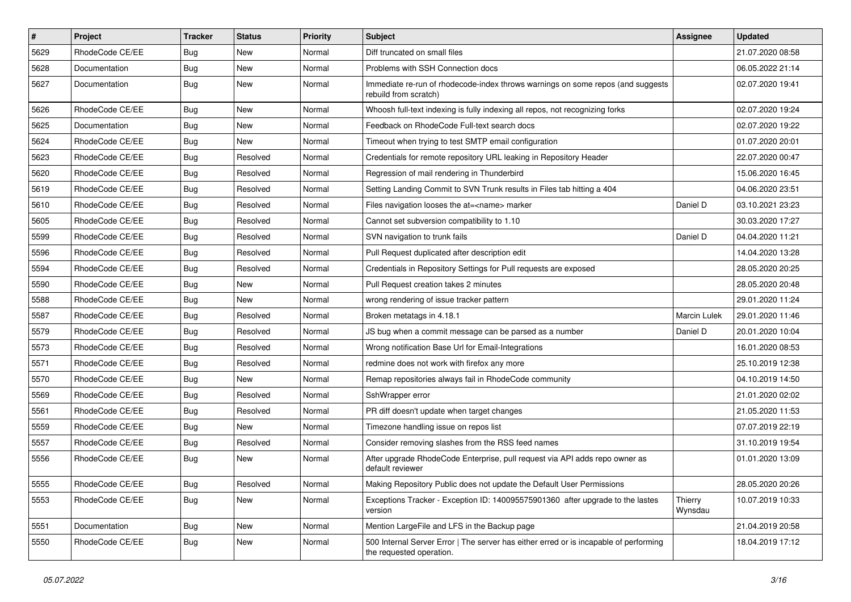| $\pmb{\#}$ | <b>Project</b>  | <b>Tracker</b> | <b>Status</b> | <b>Priority</b> | <b>Subject</b>                                                                                                    | Assignee            | <b>Updated</b>   |
|------------|-----------------|----------------|---------------|-----------------|-------------------------------------------------------------------------------------------------------------------|---------------------|------------------|
| 5629       | RhodeCode CE/EE | <b>Bug</b>     | New           | Normal          | Diff truncated on small files                                                                                     |                     | 21.07.2020 08:58 |
| 5628       | Documentation   | Bug            | <b>New</b>    | Normal          | Problems with SSH Connection docs                                                                                 |                     | 06.05.2022 21:14 |
| 5627       | Documentation   | Bug            | New           | Normal          | Immediate re-run of rhodecode-index throws warnings on some repos (and suggests<br>rebuild from scratch)          |                     | 02.07.2020 19:41 |
| 5626       | RhodeCode CE/EE | <b>Bug</b>     | <b>New</b>    | Normal          | Whoosh full-text indexing is fully indexing all repos, not recognizing forks                                      |                     | 02.07.2020 19:24 |
| 5625       | Documentation   | <b>Bug</b>     | New           | Normal          | Feedback on RhodeCode Full-text search docs                                                                       |                     | 02.07.2020 19:22 |
| 5624       | RhodeCode CE/EE | Bug            | New           | Normal          | Timeout when trying to test SMTP email configuration                                                              |                     | 01.07.2020 20:01 |
| 5623       | RhodeCode CE/EE | Bug            | Resolved      | Normal          | Credentials for remote repository URL leaking in Repository Header                                                |                     | 22.07.2020 00:47 |
| 5620       | RhodeCode CE/EE | <b>Bug</b>     | Resolved      | Normal          | Regression of mail rendering in Thunderbird                                                                       |                     | 15.06.2020 16:45 |
| 5619       | RhodeCode CE/EE | Bug            | Resolved      | Normal          | Setting Landing Commit to SVN Trunk results in Files tab hitting a 404                                            |                     | 04.06.2020 23:51 |
| 5610       | RhodeCode CE/EE | Bug            | Resolved      | Normal          | Files navigation looses the at= <name> marker</name>                                                              | Daniel D            | 03.10.2021 23:23 |
| 5605       | RhodeCode CE/EE | Bug            | Resolved      | Normal          | Cannot set subversion compatibility to 1.10                                                                       |                     | 30.03.2020 17:27 |
| 5599       | RhodeCode CE/EE | Bug            | Resolved      | Normal          | SVN navigation to trunk fails                                                                                     | Daniel D            | 04.04.2020 11:21 |
| 5596       | RhodeCode CE/EE | Bug            | Resolved      | Normal          | Pull Request duplicated after description edit                                                                    |                     | 14.04.2020 13:28 |
| 5594       | RhodeCode CE/EE | <b>Bug</b>     | Resolved      | Normal          | Credentials in Repository Settings for Pull requests are exposed                                                  |                     | 28.05.2020 20:25 |
| 5590       | RhodeCode CE/EE | Bug            | New           | Normal          | Pull Request creation takes 2 minutes                                                                             |                     | 28.05.2020 20:48 |
| 5588       | RhodeCode CE/EE | Bug            | New           | Normal          | wrong rendering of issue tracker pattern                                                                          |                     | 29.01.2020 11:24 |
| 5587       | RhodeCode CE/EE | Bug            | Resolved      | Normal          | Broken metatags in 4.18.1                                                                                         | <b>Marcin Lulek</b> | 29.01.2020 11:46 |
| 5579       | RhodeCode CE/EE | Bug            | Resolved      | Normal          | JS bug when a commit message can be parsed as a number                                                            | Daniel D            | 20.01.2020 10:04 |
| 5573       | RhodeCode CE/EE | Bug            | Resolved      | Normal          | Wrong notification Base Url for Email-Integrations                                                                |                     | 16.01.2020 08:53 |
| 5571       | RhodeCode CE/EE | Bug            | Resolved      | Normal          | redmine does not work with firefox any more                                                                       |                     | 25.10.2019 12:38 |
| 5570       | RhodeCode CE/EE | Bug            | New           | Normal          | Remap repositories always fail in RhodeCode community                                                             |                     | 04.10.2019 14:50 |
| 5569       | RhodeCode CE/EE | Bug            | Resolved      | Normal          | SshWrapper error                                                                                                  |                     | 21.01.2020 02:02 |
| 5561       | RhodeCode CE/EE | Bug            | Resolved      | Normal          | PR diff doesn't update when target changes                                                                        |                     | 21.05.2020 11:53 |
| 5559       | RhodeCode CE/EE | Bug            | New           | Normal          | Timezone handling issue on repos list                                                                             |                     | 07.07.2019 22:19 |
| 5557       | RhodeCode CE/EE | Bug            | Resolved      | Normal          | Consider removing slashes from the RSS feed names                                                                 |                     | 31.10.2019 19:54 |
| 5556       | RhodeCode CE/EE | Bug            | New           | Normal          | After upgrade RhodeCode Enterprise, pull request via API adds repo owner as<br>default reviewer                   |                     | 01.01.2020 13:09 |
| 5555       | RhodeCode CE/EE | <b>Bug</b>     | Resolved      | Normal          | Making Repository Public does not update the Default User Permissions                                             |                     | 28.05.2020 20:26 |
| 5553       | RhodeCode CE/EE | Bug            | New           | Normal          | Exceptions Tracker - Exception ID: 140095575901360 after upgrade to the lastes<br>version                         | Thierry<br>Wynsdau  | 10.07.2019 10:33 |
| 5551       | Documentation   | Bug            | New           | Normal          | Mention LargeFile and LFS in the Backup page                                                                      |                     | 21.04.2019 20:58 |
| 5550       | RhodeCode CE/EE | <b>Bug</b>     | New           | Normal          | 500 Internal Server Error   The server has either erred or is incapable of performing<br>the requested operation. |                     | 18.04.2019 17:12 |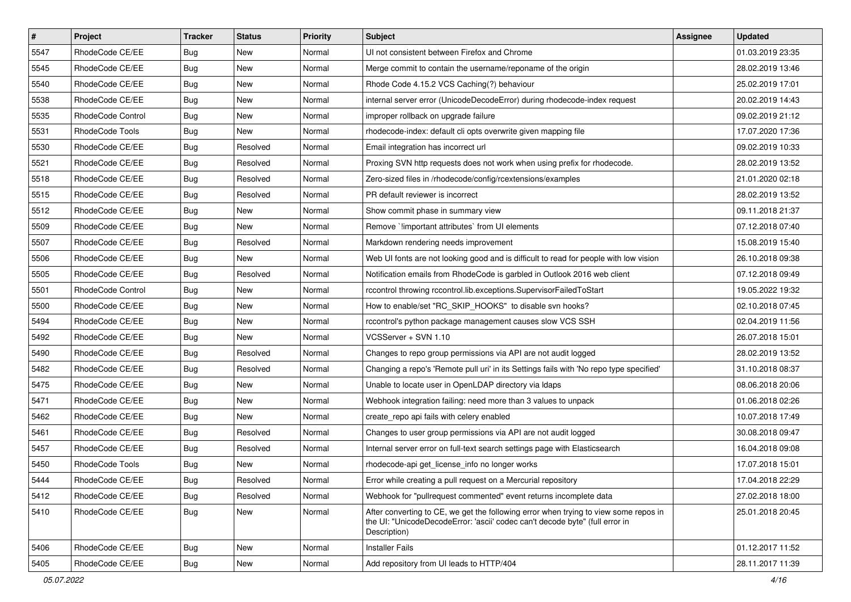| $\pmb{\#}$ | Project           | <b>Tracker</b> | <b>Status</b> | <b>Priority</b> | <b>Subject</b>                                                                                                                                                                       | <b>Assignee</b> | <b>Updated</b>   |
|------------|-------------------|----------------|---------------|-----------------|--------------------------------------------------------------------------------------------------------------------------------------------------------------------------------------|-----------------|------------------|
| 5547       | RhodeCode CE/EE   | Bug            | New           | Normal          | UI not consistent between Firefox and Chrome                                                                                                                                         |                 | 01.03.2019 23:35 |
| 5545       | RhodeCode CE/EE   | Bug            | New           | Normal          | Merge commit to contain the username/reponame of the origin                                                                                                                          |                 | 28.02.2019 13:46 |
| 5540       | RhodeCode CE/EE   | Bug            | New           | Normal          | Rhode Code 4.15.2 VCS Caching(?) behaviour                                                                                                                                           |                 | 25.02.2019 17:01 |
| 5538       | RhodeCode CE/EE   | Bug            | New           | Normal          | internal server error (UnicodeDecodeError) during rhodecode-index request                                                                                                            |                 | 20.02.2019 14:43 |
| 5535       | RhodeCode Control | Bug            | <b>New</b>    | Normal          | improper rollback on upgrade failure                                                                                                                                                 |                 | 09.02.2019 21:12 |
| 5531       | RhodeCode Tools   | Bug            | <b>New</b>    | Normal          | rhodecode-index: default cli opts overwrite given mapping file                                                                                                                       |                 | 17.07.2020 17:36 |
| 5530       | RhodeCode CE/EE   | <b>Bug</b>     | Resolved      | Normal          | Email integration has incorrect url                                                                                                                                                  |                 | 09.02.2019 10:33 |
| 5521       | RhodeCode CE/EE   | <b>Bug</b>     | Resolved      | Normal          | Proxing SVN http requests does not work when using prefix for rhodecode.                                                                                                             |                 | 28.02.2019 13:52 |
| 5518       | RhodeCode CE/EE   | Bug            | Resolved      | Normal          | Zero-sized files in /rhodecode/config/rcextensions/examples                                                                                                                          |                 | 21.01.2020 02:18 |
| 5515       | RhodeCode CE/EE   | Bug            | Resolved      | Normal          | PR default reviewer is incorrect                                                                                                                                                     |                 | 28.02.2019 13:52 |
| 5512       | RhodeCode CE/EE   | Bug            | New           | Normal          | Show commit phase in summary view                                                                                                                                                    |                 | 09.11.2018 21:37 |
| 5509       | RhodeCode CE/EE   | <b>Bug</b>     | New           | Normal          | Remove `!important attributes` from UI elements                                                                                                                                      |                 | 07.12.2018 07:40 |
| 5507       | RhodeCode CE/EE   | Bug            | Resolved      | Normal          | Markdown rendering needs improvement                                                                                                                                                 |                 | 15.08.2019 15:40 |
| 5506       | RhodeCode CE/EE   | Bug            | New           | Normal          | Web UI fonts are not looking good and is difficult to read for people with low vision                                                                                                |                 | 26.10.2018 09:38 |
| 5505       | RhodeCode CE/EE   | <b>Bug</b>     | Resolved      | Normal          | Notification emails from RhodeCode is garbled in Outlook 2016 web client                                                                                                             |                 | 07.12.2018 09:49 |
| 5501       | RhodeCode Control | Bug            | New           | Normal          | rccontrol throwing rccontrol.lib.exceptions.SupervisorFailedToStart                                                                                                                  |                 | 19.05.2022 19:32 |
| 5500       | RhodeCode CE/EE   | <b>Bug</b>     | New           | Normal          | How to enable/set "RC_SKIP_HOOKS" to disable svn hooks?                                                                                                                              |                 | 02.10.2018 07:45 |
| 5494       | RhodeCode CE/EE   | Bug            | <b>New</b>    | Normal          | rccontrol's python package management causes slow VCS SSH                                                                                                                            |                 | 02.04.2019 11:56 |
| 5492       | RhodeCode CE/EE   | <b>Bug</b>     | New           | Normal          | VCSServer + SVN 1.10                                                                                                                                                                 |                 | 26.07.2018 15:01 |
| 5490       | RhodeCode CE/EE   | <b>Bug</b>     | Resolved      | Normal          | Changes to repo group permissions via API are not audit logged                                                                                                                       |                 | 28.02.2019 13:52 |
| 5482       | RhodeCode CE/EE   | <b>Bug</b>     | Resolved      | Normal          | Changing a repo's 'Remote pull uri' in its Settings fails with 'No repo type specified'                                                                                              |                 | 31.10.2018 08:37 |
| 5475       | RhodeCode CE/EE   | Bug            | New           | Normal          | Unable to locate user in OpenLDAP directory via Idaps                                                                                                                                |                 | 08.06.2018 20:06 |
| 5471       | RhodeCode CE/EE   | <b>Bug</b>     | <b>New</b>    | Normal          | Webhook integration failing: need more than 3 values to unpack                                                                                                                       |                 | 01.06.2018 02:26 |
| 5462       | RhodeCode CE/EE   | Bug            | <b>New</b>    | Normal          | create_repo api fails with celery enabled                                                                                                                                            |                 | 10.07.2018 17:49 |
| 5461       | RhodeCode CE/EE   | <b>Bug</b>     | Resolved      | Normal          | Changes to user group permissions via API are not audit logged                                                                                                                       |                 | 30.08.2018 09:47 |
| 5457       | RhodeCode CE/EE   | Bug            | Resolved      | Normal          | Internal server error on full-text search settings page with Elasticsearch                                                                                                           |                 | 16.04.2018 09:08 |
| 5450       | RhodeCode Tools   | <b>Bug</b>     | New           | Normal          | rhodecode-api get license info no longer works                                                                                                                                       |                 | 17.07.2018 15:01 |
| 5444       | RhodeCode CE/EE   | <b>Bug</b>     | Resolved      | Normal          | Error while creating a pull request on a Mercurial repository                                                                                                                        |                 | 17.04.2018 22:29 |
| 5412       | RhodeCode CE/EE   | Bug            | Resolved      | Normal          | Webhook for "pullrequest commented" event returns incomplete data                                                                                                                    |                 | 27.02.2018 18:00 |
| 5410       | RhodeCode CE/EE   | Bug            | New           | Normal          | After converting to CE, we get the following error when trying to view some repos in<br>the UI: "UnicodeDecodeError: 'ascii' codec can't decode byte" (full error in<br>Description) |                 | 25.01.2018 20:45 |
| 5406       | RhodeCode CE/EE   | Bug            | New           | Normal          | <b>Installer Fails</b>                                                                                                                                                               |                 | 01.12.2017 11:52 |
| 5405       | RhodeCode CE/EE   | <b>Bug</b>     | New           | Normal          | Add repository from UI leads to HTTP/404                                                                                                                                             |                 | 28.11.2017 11:39 |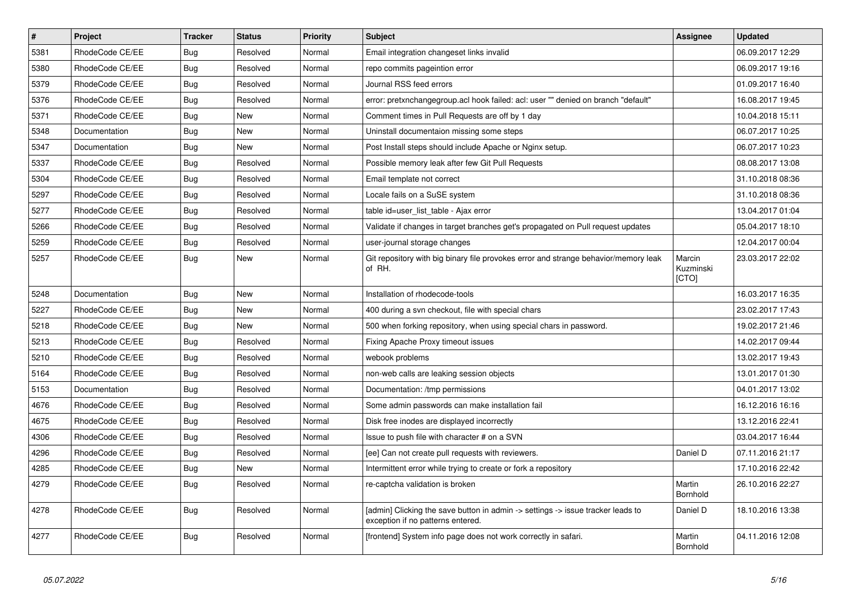| $\sharp$ | <b>Project</b>  | <b>Tracker</b> | <b>Status</b> | <b>Priority</b> | <b>Subject</b>                                                                                                       | Assignee                     | <b>Updated</b>   |
|----------|-----------------|----------------|---------------|-----------------|----------------------------------------------------------------------------------------------------------------------|------------------------------|------------------|
| 5381     | RhodeCode CE/EE | Bug            | Resolved      | Normal          | Email integration changeset links invalid                                                                            |                              | 06.09.2017 12:29 |
| 5380     | RhodeCode CE/EE | Bug            | Resolved      | Normal          | repo commits pageintion error                                                                                        |                              | 06.09.2017 19:16 |
| 5379     | RhodeCode CE/EE | Bug            | Resolved      | Normal          | Journal RSS feed errors                                                                                              |                              | 01.09.2017 16:40 |
| 5376     | RhodeCode CE/EE | Bug            | Resolved      | Normal          | error: pretxnchangegroup.acl hook failed: acl: user "" denied on branch "default"                                    |                              | 16.08.2017 19:45 |
| 5371     | RhodeCode CE/EE | Bug            | <b>New</b>    | Normal          | Comment times in Pull Requests are off by 1 day                                                                      |                              | 10.04.2018 15:11 |
| 5348     | Documentation   | Bug            | <b>New</b>    | Normal          | Uninstall documentaion missing some steps                                                                            |                              | 06.07.2017 10:25 |
| 5347     | Documentation   | Bug            | <b>New</b>    | Normal          | Post Install steps should include Apache or Nginx setup.                                                             |                              | 06.07.2017 10:23 |
| 5337     | RhodeCode CE/EE | <b>Bug</b>     | Resolved      | Normal          | Possible memory leak after few Git Pull Requests                                                                     |                              | 08.08.2017 13:08 |
| 5304     | RhodeCode CE/EE | Bug            | Resolved      | Normal          | Email template not correct                                                                                           |                              | 31.10.2018 08:36 |
| 5297     | RhodeCode CE/EE | <b>Bug</b>     | Resolved      | Normal          | Locale fails on a SuSE system                                                                                        |                              | 31.10.2018 08:36 |
| 5277     | RhodeCode CE/EE | Bug            | Resolved      | Normal          | table id=user list table - Ajax error                                                                                |                              | 13.04.2017 01:04 |
| 5266     | RhodeCode CE/EE | <b>Bug</b>     | Resolved      | Normal          | Validate if changes in target branches get's propagated on Pull request updates                                      |                              | 05.04.2017 18:10 |
| 5259     | RhodeCode CE/EE | Bug            | Resolved      | Normal          | user-journal storage changes                                                                                         |                              | 12.04.2017 00:04 |
| 5257     | RhodeCode CE/EE | <b>Bug</b>     | <b>New</b>    | Normal          | Git repository with big binary file provokes error and strange behavior/memory leak<br>of RH.                        | Marcin<br>Kuzminski<br>[CTO] | 23.03.2017 22:02 |
| 5248     | Documentation   | Bug            | <b>New</b>    | Normal          | Installation of rhodecode-tools                                                                                      |                              | 16.03.2017 16:35 |
| 5227     | RhodeCode CE/EE | Bug            | New           | Normal          | 400 during a svn checkout, file with special chars                                                                   |                              | 23.02.2017 17:43 |
| 5218     | RhodeCode CE/EE | Bug            | <b>New</b>    | Normal          | 500 when forking repository, when using special chars in password.                                                   |                              | 19.02.2017 21:46 |
| 5213     | RhodeCode CE/EE | Bug            | Resolved      | Normal          | Fixing Apache Proxy timeout issues                                                                                   |                              | 14.02.2017 09:44 |
| 5210     | RhodeCode CE/EE | Bug            | Resolved      | Normal          | webook problems                                                                                                      |                              | 13.02.2017 19:43 |
| 5164     | RhodeCode CE/EE | Bug            | Resolved      | Normal          | non-web calls are leaking session objects                                                                            |                              | 13.01.2017 01:30 |
| 5153     | Documentation   | <b>Bug</b>     | Resolved      | Normal          | Documentation: /tmp permissions                                                                                      |                              | 04.01.2017 13:02 |
| 4676     | RhodeCode CE/EE | <b>Bug</b>     | Resolved      | Normal          | Some admin passwords can make installation fail                                                                      |                              | 16.12.2016 16:16 |
| 4675     | RhodeCode CE/EE | Bug            | Resolved      | Normal          | Disk free inodes are displayed incorrectly                                                                           |                              | 13.12.2016 22:41 |
| 4306     | RhodeCode CE/EE | Bug            | Resolved      | Normal          | Issue to push file with character # on a SVN                                                                         |                              | 03.04.2017 16:44 |
| 4296     | RhodeCode CE/EE | <b>Bug</b>     | Resolved      | Normal          | [ee] Can not create pull requests with reviewers.                                                                    | Daniel D                     | 07.11.2016 21:17 |
| 4285     | RhodeCode CE/EE | Bug            | <b>New</b>    | Normal          | Intermittent error while trying to create or fork a repository                                                       |                              | 17.10.2016 22:42 |
| 4279     | RhodeCode CE/EE | Bug            | Resolved      | Normal          | re-captcha validation is broken                                                                                      | Martin<br>Bornhold           | 26.10.2016 22:27 |
| 4278     | RhodeCode CE/EE | <b>Bug</b>     | Resolved      | Normal          | [admin] Clicking the save button in admin -> settings -> issue tracker leads to<br>exception if no patterns entered. | Daniel D                     | 18.10.2016 13:38 |
| 4277     | RhodeCode CE/EE | <b>Bug</b>     | Resolved      | Normal          | [frontend] System info page does not work correctly in safari.                                                       | Martin<br>Bornhold           | 04.11.2016 12:08 |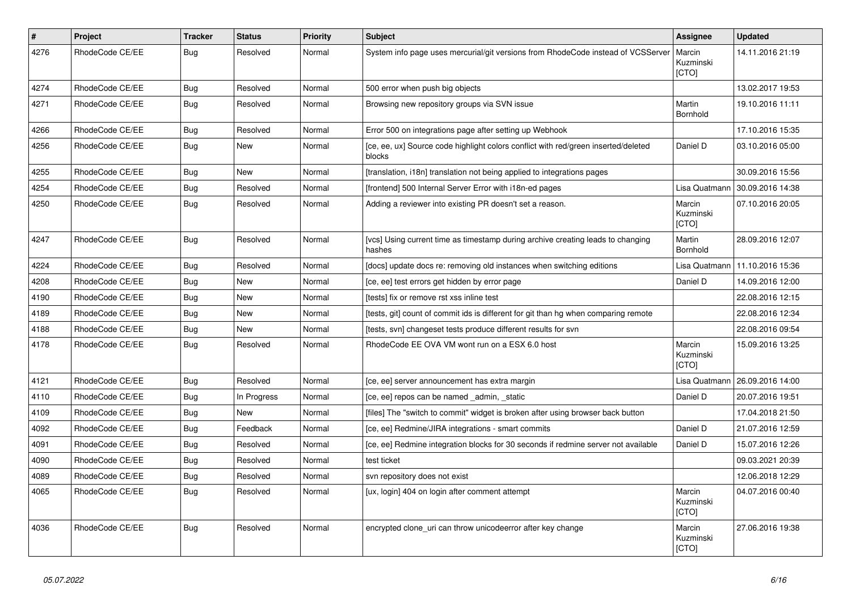| $\vert$ # | Project         | <b>Tracker</b> | <b>Status</b> | <b>Priority</b> | <b>Subject</b>                                                                               | Assignee                            | <b>Updated</b>   |
|-----------|-----------------|----------------|---------------|-----------------|----------------------------------------------------------------------------------------------|-------------------------------------|------------------|
| 4276      | RhodeCode CE/EE | Bug            | Resolved      | Normal          | System info page uses mercurial/git versions from RhodeCode instead of VCSServer             | Marcin<br>Kuzminski<br>[CTO]        | 14.11.2016 21:19 |
| 4274      | RhodeCode CE/EE | Bug            | Resolved      | Normal          | 500 error when push big objects                                                              |                                     | 13.02.2017 19:53 |
| 4271      | RhodeCode CE/EE | Bug            | Resolved      | Normal          | Browsing new repository groups via SVN issue                                                 | Martin<br>Bornhold                  | 19.10.2016 11:11 |
| 4266      | RhodeCode CE/EE | Bug            | Resolved      | Normal          | Error 500 on integrations page after setting up Webhook                                      |                                     | 17.10.2016 15:35 |
| 4256      | RhodeCode CE/EE | Bug            | New           | Normal          | [ce, ee, ux] Source code highlight colors conflict with red/green inserted/deleted<br>blocks | Daniel D                            | 03.10.2016 05:00 |
| 4255      | RhodeCode CE/EE | Bug            | <b>New</b>    | Normal          | [translation, i18n] translation not being applied to integrations pages                      |                                     | 30.09.2016 15:56 |
| 4254      | RhodeCode CE/EE | Bug            | Resolved      | Normal          | [frontend] 500 Internal Server Error with i18n-ed pages                                      | Lisa Quatmann                       | 30.09.2016 14:38 |
| 4250      | RhodeCode CE/EE | <b>Bug</b>     | Resolved      | Normal          | Adding a reviewer into existing PR doesn't set a reason.                                     | Marcin<br>Kuzminski<br>[CTO]        | 07.10.2016 20:05 |
| 4247      | RhodeCode CE/EE | Bug            | Resolved      | Normal          | [vcs] Using current time as timestamp during archive creating leads to changing<br>hashes    | Martin<br>Bornhold                  | 28.09.2016 12:07 |
| 4224      | RhodeCode CE/EE | Bug            | Resolved      | Normal          | [docs] update docs re: removing old instances when switching editions                        | Lisa Quatmann                       | 11.10.2016 15:36 |
| 4208      | RhodeCode CE/EE | <b>Bug</b>     | <b>New</b>    | Normal          | [ce, ee] test errors get hidden by error page                                                | Daniel D                            | 14.09.2016 12:00 |
| 4190      | RhodeCode CE/EE | Bug            | New           | Normal          | [tests] fix or remove rst xss inline test                                                    |                                     | 22.08.2016 12:15 |
| 4189      | RhodeCode CE/EE | Bug            | <b>New</b>    | Normal          | [tests, git] count of commit ids is different for git than hg when comparing remote          |                                     | 22.08.2016 12:34 |
| 4188      | RhodeCode CE/EE | <b>Bug</b>     | <b>New</b>    | Normal          | [tests, svn] changeset tests produce different results for svn                               |                                     | 22.08.2016 09:54 |
| 4178      | RhodeCode CE/EE | Bug            | Resolved      | Normal          | RhodeCode EE OVA VM wont run on a ESX 6.0 host                                               | Marcin<br>Kuzminski<br>[CTO]        | 15.09.2016 13:25 |
| 4121      | RhodeCode CE/EE | Bug            | Resolved      | Normal          | [ce, ee] server announcement has extra margin                                                | Lisa Quatmann                       | 26.09.2016 14:00 |
| 4110      | RhodeCode CE/EE | <b>Bug</b>     | In Progress   | Normal          | [ce, ee] repos can be named _admin, _static                                                  | Daniel D                            | 20.07.2016 19:51 |
| 4109      | RhodeCode CE/EE | Bug            | <b>New</b>    | Normal          | [files] The "switch to commit" widget is broken after using browser back button              |                                     | 17.04.2018 21:50 |
| 4092      | RhodeCode CE/EE | Bug            | Feedback      | Normal          | [ce, ee] Redmine/JIRA integrations - smart commits                                           | Daniel D                            | 21.07.2016 12:59 |
| 4091      | RhodeCode CE/EE | Bug            | Resolved      | Normal          | [ce, ee] Redmine integration blocks for 30 seconds if redmine server not available           | Daniel D                            | 15.07.2016 12:26 |
| 4090      | RhodeCode CE/EE | Bug            | Resolved      | Normal          | test ticket                                                                                  |                                     | 09.03.2021 20:39 |
| 4089      | RhodeCode CE/EE | Bug            | Resolved      | Normal          | svn repository does not exist                                                                |                                     | 12.06.2018 12:29 |
| 4065      | RhodeCode CE/EE | Bug            | Resolved      | Normal          | [ux, login] 404 on login after comment attempt                                               | Marcin<br>Kuzminski<br><b>[CTO]</b> | 04.07.2016 00:40 |
| 4036      | RhodeCode CE/EE | Bug            | Resolved      | Normal          | encrypted clone uri can throw unicodeerror after key change                                  | Marcin<br>Kuzminski<br>[CTO]        | 27.06.2016 19:38 |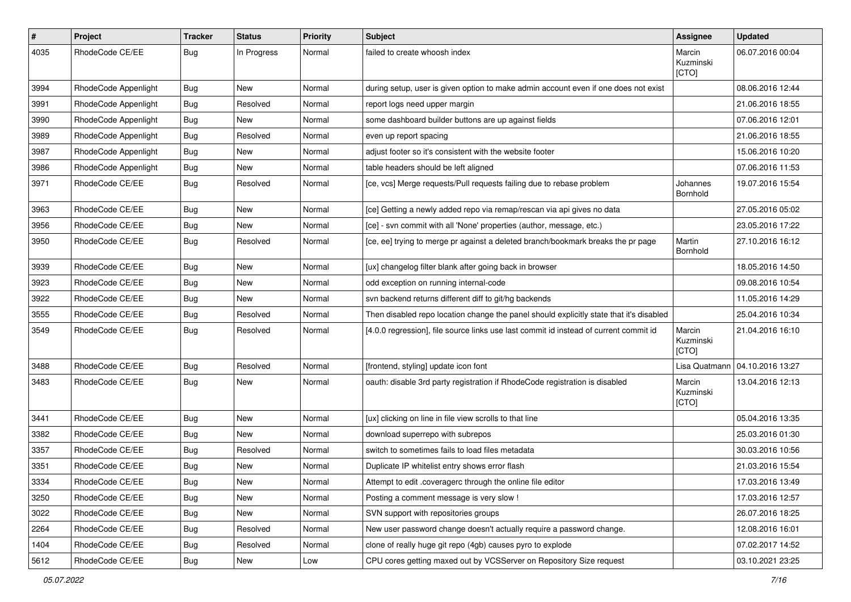| $\sharp$ | Project              | Tracker    | <b>Status</b> | <b>Priority</b> | <b>Subject</b>                                                                          | <b>Assignee</b>              | <b>Updated</b>                   |
|----------|----------------------|------------|---------------|-----------------|-----------------------------------------------------------------------------------------|------------------------------|----------------------------------|
| 4035     | RhodeCode CE/EE      | Bug        | In Progress   | Normal          | failed to create whoosh index                                                           | Marcin<br>Kuzminski<br>[CTO] | 06.07.2016 00:04                 |
| 3994     | RhodeCode Appenlight | <b>Bug</b> | New           | Normal          | during setup, user is given option to make admin account even if one does not exist     |                              | 08.06.2016 12:44                 |
| 3991     | RhodeCode Appenlight | Bug        | Resolved      | Normal          | report logs need upper margin                                                           |                              | 21.06.2016 18:55                 |
| 3990     | RhodeCode Appenlight | <b>Bug</b> | New           | Normal          | some dashboard builder buttons are up against fields                                    |                              | 07.06.2016 12:01                 |
| 3989     | RhodeCode Appenlight | <b>Bug</b> | Resolved      | Normal          | even up report spacing                                                                  |                              | 21.06.2016 18:55                 |
| 3987     | RhodeCode Appenlight | Bug        | New           | Normal          | adjust footer so it's consistent with the website footer                                |                              | 15.06.2016 10:20                 |
| 3986     | RhodeCode Appenlight | <b>Bug</b> | New           | Normal          | table headers should be left aligned                                                    |                              | 07.06.2016 11:53                 |
| 3971     | RhodeCode CE/EE      | Bug        | Resolved      | Normal          | [ce, vcs] Merge requests/Pull requests failing due to rebase problem                    | Johannes<br>Bornhold         | 19.07.2016 15:54                 |
| 3963     | RhodeCode CE/EE      | <b>Bug</b> | New           | Normal          | [ce] Getting a newly added repo via remap/rescan via api gives no data                  |                              | 27.05.2016 05:02                 |
| 3956     | RhodeCode CE/EE      | Bug        | <b>New</b>    | Normal          | [ce] - svn commit with all 'None' properties (author, message, etc.)                    |                              | 23.05.2016 17:22                 |
| 3950     | RhodeCode CE/EE      | Bug        | Resolved      | Normal          | [ce, ee] trying to merge pr against a deleted branch/bookmark breaks the pr page        | Martin<br>Bornhold           | 27.10.2016 16:12                 |
| 3939     | RhodeCode CE/EE      | Bug        | New           | Normal          | [ux] changelog filter blank after going back in browser                                 |                              | 18.05.2016 14:50                 |
| 3923     | RhodeCode CE/EE      | <b>Bug</b> | New           | Normal          | odd exception on running internal-code                                                  |                              | 09.08.2016 10:54                 |
| 3922     | RhodeCode CE/EE      | Bug        | New           | Normal          | svn backend returns different diff to git/hg backends                                   |                              | 11.05.2016 14:29                 |
| 3555     | RhodeCode CE/EE      | Bug        | Resolved      | Normal          | Then disabled repo location change the panel should explicitly state that it's disabled |                              | 25.04.2016 10:34                 |
| 3549     | RhodeCode CE/EE      | <b>Bug</b> | Resolved      | Normal          | [4.0.0 regression], file source links use last commit id instead of current commit id   | Marcin<br>Kuzminski<br>[CTO] | 21.04.2016 16:10                 |
| 3488     | RhodeCode CE/EE      | Bug        | Resolved      | Normal          | [frontend, styling] update icon font                                                    |                              | Lisa Quatmann   04.10.2016 13:27 |
| 3483     | RhodeCode CE/EE      | <b>Bug</b> | New           | Normal          | oauth: disable 3rd party registration if RhodeCode registration is disabled             | Marcin<br>Kuzminski<br>[CTO] | 13.04.2016 12:13                 |
| 3441     | RhodeCode CE/EE      | <b>Bug</b> | New           | Normal          | [ux] clicking on line in file view scrolls to that line                                 |                              | 05.04.2016 13:35                 |
| 3382     | RhodeCode CE/EE      | <b>Bug</b> | New           | Normal          | download superrepo with subrepos                                                        |                              | 25.03.2016 01:30                 |
| 3357     | RhodeCode CE/EE      | Bug        | Resolved      | Normal          | switch to sometimes fails to load files metadata                                        |                              | 30.03.2016 10:56                 |
| 3351     | RhodeCode CE/EE      | <b>Bug</b> | New           | Normal          | Duplicate IP whitelist entry shows error flash                                          |                              | 21.03.2016 15:54                 |
| 3334     | RhodeCode CE/EE      | <b>Bug</b> | New           | Normal          | Attempt to edit .coveragerc through the online file editor                              |                              | 17.03.2016 13:49                 |
| 3250     | RhodeCode CE/EE      | Bug        | New           | Normal          | Posting a comment message is very slow !                                                |                              | 17.03.2016 12:57                 |
| 3022     | RhodeCode CE/EE      | <b>Bug</b> | New           | Normal          | SVN support with repositories groups                                                    |                              | 26.07.2016 18:25                 |
| 2264     | RhodeCode CE/EE      | Bug        | Resolved      | Normal          | New user password change doesn't actually require a password change.                    |                              | 12.08.2016 16:01                 |
| 1404     | RhodeCode CE/EE      | <b>Bug</b> | Resolved      | Normal          | clone of really huge git repo (4gb) causes pyro to explode                              |                              | 07.02.2017 14:52                 |
| 5612     | RhodeCode CE/EE      | Bug        | New           | Low             | CPU cores getting maxed out by VCSServer on Repository Size request                     |                              | 03.10.2021 23:25                 |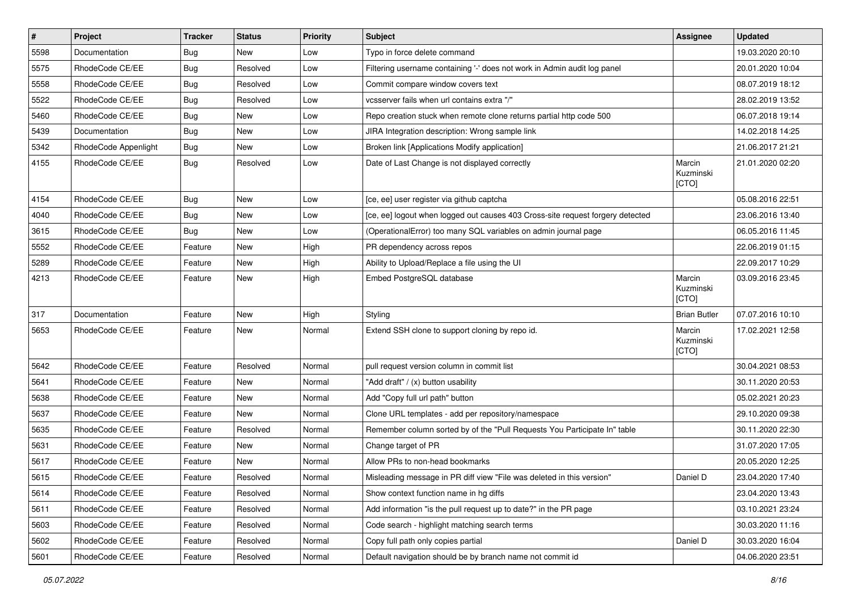| $\vert$ # | Project              | <b>Tracker</b> | <b>Status</b> | Priority | Subject                                                                        | <b>Assignee</b>              | <b>Updated</b>   |
|-----------|----------------------|----------------|---------------|----------|--------------------------------------------------------------------------------|------------------------------|------------------|
| 5598      | Documentation        | Bug            | New           | Low      | Typo in force delete command                                                   |                              | 19.03.2020 20:10 |
| 5575      | RhodeCode CE/EE      | Bug            | Resolved      | Low      | Filtering username containing '-' does not work in Admin audit log panel       |                              | 20.01.2020 10:04 |
| 5558      | RhodeCode CE/EE      | Bug            | Resolved      | Low      | Commit compare window covers text                                              |                              | 08.07.2019 18:12 |
| 5522      | RhodeCode CE/EE      | Bug            | Resolved      | Low      | vcsserver fails when url contains extra "/"                                    |                              | 28.02.2019 13:52 |
| 5460      | RhodeCode CE/EE      | <b>Bug</b>     | <b>New</b>    | Low      | Repo creation stuck when remote clone returns partial http code 500            |                              | 06.07.2018 19:14 |
| 5439      | Documentation        | Bug            | New           | Low      | JIRA Integration description: Wrong sample link                                |                              | 14.02.2018 14:25 |
| 5342      | RhodeCode Appenlight | Bug            | <b>New</b>    | Low      | Broken link [Applications Modify application]                                  |                              | 21.06.2017 21:21 |
| 4155      | RhodeCode CE/EE      | Bug            | Resolved      | Low      | Date of Last Change is not displayed correctly                                 | Marcin<br>Kuzminski<br>[CTO] | 21.01.2020 02:20 |
| 4154      | RhodeCode CE/EE      | Bug            | New           | Low      | [ce, ee] user register via github captcha                                      |                              | 05.08.2016 22:51 |
| 4040      | RhodeCode CE/EE      | Bug            | New           | Low      | [ce, ee] logout when logged out causes 403 Cross-site request forgery detected |                              | 23.06.2016 13:40 |
| 3615      | RhodeCode CE/EE      | Bug            | <b>New</b>    | Low      | (OperationalError) too many SQL variables on admin journal page                |                              | 06.05.2016 11:45 |
| 5552      | RhodeCode CE/EE      | Feature        | New           | High     | PR dependency across repos                                                     |                              | 22.06.2019 01:15 |
| 5289      | RhodeCode CE/EE      | Feature        | <b>New</b>    | High     | Ability to Upload/Replace a file using the UI                                  |                              | 22.09.2017 10:29 |
| 4213      | RhodeCode CE/EE      | Feature        | New           | High     | Embed PostgreSQL database                                                      | Marcin<br>Kuzminski<br>[CTO] | 03.09.2016 23:45 |
| 317       | Documentation        | Feature        | New           | High     | Styling                                                                        | <b>Brian Butler</b>          | 07.07.2016 10:10 |
| 5653      | RhodeCode CE/EE      | Feature        | New           | Normal   | Extend SSH clone to support cloning by repo id.                                | Marcin<br>Kuzminski<br>[CTO] | 17.02.2021 12:58 |
| 5642      | RhodeCode CE/EE      | Feature        | Resolved      | Normal   | pull request version column in commit list                                     |                              | 30.04.2021 08:53 |
| 5641      | RhodeCode CE/EE      | Feature        | <b>New</b>    | Normal   | "Add draft" / (x) button usability                                             |                              | 30.11.2020 20:53 |
| 5638      | RhodeCode CE/EE      | Feature        | New           | Normal   | Add "Copy full url path" button                                                |                              | 05.02.2021 20:23 |
| 5637      | RhodeCode CE/EE      | Feature        | <b>New</b>    | Normal   | Clone URL templates - add per repository/namespace                             |                              | 29.10.2020 09:38 |
| 5635      | RhodeCode CE/EE      | Feature        | Resolved      | Normal   | Remember column sorted by of the "Pull Requests You Participate In" table      |                              | 30.11.2020 22:30 |
| 5631      | RhodeCode CE/EE      | Feature        | New           | Normal   | Change target of PR                                                            |                              | 31.07.2020 17:05 |
| 5617      | RhodeCode CE/EE      | Feature        | <b>New</b>    | Normal   | Allow PRs to non-head bookmarks                                                |                              | 20.05.2020 12:25 |
| 5615      | RhodeCode CE/EE      | Feature        | Resolved      | Normal   | Misleading message in PR diff view "File was deleted in this version"          | Daniel D                     | 23.04.2020 17:40 |
| 5614      | RhodeCode CE/EE      | Feature        | Resolved      | Normal   | Show context function name in hg diffs                                         |                              | 23.04.2020 13:43 |
| 5611      | RhodeCode CE/EE      | Feature        | Resolved      | Normal   | Add information "is the pull request up to date?" in the PR page               |                              | 03.10.2021 23:24 |
| 5603      | RhodeCode CE/EE      | Feature        | Resolved      | Normal   | Code search - highlight matching search terms                                  |                              | 30.03.2020 11:16 |
| 5602      | RhodeCode CE/EE      | Feature        | Resolved      | Normal   | Copy full path only copies partial                                             | Daniel D                     | 30.03.2020 16:04 |
| 5601      | RhodeCode CE/EE      | Feature        | Resolved      | Normal   | Default navigation should be by branch name not commit id                      |                              | 04.06.2020 23:51 |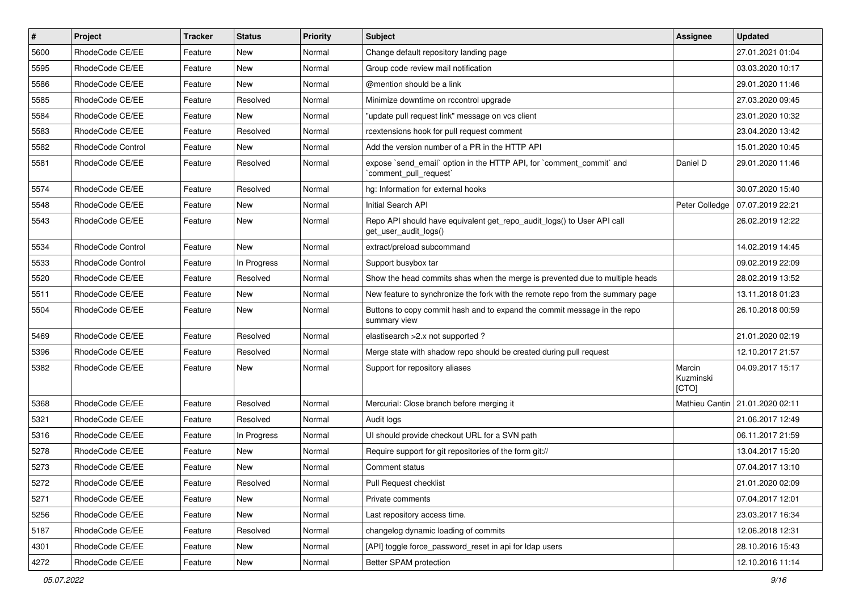| $\vert$ # | Project           | <b>Tracker</b> | <b>Status</b> | Priority | Subject                                                                                         | <b>Assignee</b>              | <b>Updated</b>   |
|-----------|-------------------|----------------|---------------|----------|-------------------------------------------------------------------------------------------------|------------------------------|------------------|
| 5600      | RhodeCode CE/EE   | Feature        | New           | Normal   | Change default repository landing page                                                          |                              | 27.01.2021 01:04 |
| 5595      | RhodeCode CE/EE   | Feature        | <b>New</b>    | Normal   | Group code review mail notification                                                             |                              | 03.03.2020 10:17 |
| 5586      | RhodeCode CE/EE   | Feature        | New           | Normal   | @mention should be a link                                                                       |                              | 29.01.2020 11:46 |
| 5585      | RhodeCode CE/EE   | Feature        | Resolved      | Normal   | Minimize downtime on rccontrol upgrade                                                          |                              | 27.03.2020 09:45 |
| 5584      | RhodeCode CE/EE   | Feature        | New           | Normal   | "update pull request link" message on vcs client                                                |                              | 23.01.2020 10:32 |
| 5583      | RhodeCode CE/EE   | Feature        | Resolved      | Normal   | rcextensions hook for pull request comment                                                      |                              | 23.04.2020 13:42 |
| 5582      | RhodeCode Control | Feature        | New           | Normal   | Add the version number of a PR in the HTTP API                                                  |                              | 15.01.2020 10:45 |
| 5581      | RhodeCode CE/EE   | Feature        | Resolved      | Normal   | expose `send_email` option in the HTTP API, for `comment_commit` and<br>`comment_pull_request`  | Daniel D                     | 29.01.2020 11:46 |
| 5574      | RhodeCode CE/EE   | Feature        | Resolved      | Normal   | hg: Information for external hooks                                                              |                              | 30.07.2020 15:40 |
| 5548      | RhodeCode CE/EE   | Feature        | New           | Normal   | Initial Search API                                                                              | Peter Colledge               | 07.07.2019 22:21 |
| 5543      | RhodeCode CE/EE   | Feature        | New           | Normal   | Repo API should have equivalent get_repo_audit_logs() to User API call<br>get_user_audit_logs() |                              | 26.02.2019 12:22 |
| 5534      | RhodeCode Control | Feature        | <b>New</b>    | Normal   | extract/preload subcommand                                                                      |                              | 14.02.2019 14:45 |
| 5533      | RhodeCode Control | Feature        | In Progress   | Normal   | Support busybox tar                                                                             |                              | 09.02.2019 22:09 |
| 5520      | RhodeCode CE/EE   | Feature        | Resolved      | Normal   | Show the head commits shas when the merge is prevented due to multiple heads                    |                              | 28.02.2019 13:52 |
| 5511      | RhodeCode CE/EE   | Feature        | New           | Normal   | New feature to synchronize the fork with the remote repo from the summary page                  |                              | 13.11.2018 01:23 |
| 5504      | RhodeCode CE/EE   | Feature        | New           | Normal   | Buttons to copy commit hash and to expand the commit message in the repo<br>summary view        |                              | 26.10.2018 00:59 |
| 5469      | RhodeCode CE/EE   | Feature        | Resolved      | Normal   | elastisearch > 2.x not supported?                                                               |                              | 21.01.2020 02:19 |
| 5396      | RhodeCode CE/EE   | Feature        | Resolved      | Normal   | Merge state with shadow repo should be created during pull request                              |                              | 12.10.2017 21:57 |
| 5382      | RhodeCode CE/EE   | Feature        | New           | Normal   | Support for repository aliases                                                                  | Marcin<br>Kuzminski<br>[CTO] | 04.09.2017 15:17 |
| 5368      | RhodeCode CE/EE   | Feature        | Resolved      | Normal   | Mercurial: Close branch before merging it                                                       | Mathieu Cantin               | 21.01.2020 02:11 |
| 5321      | RhodeCode CE/EE   | Feature        | Resolved      | Normal   | Audit logs                                                                                      |                              | 21.06.2017 12:49 |
| 5316      | RhodeCode CE/EE   | Feature        | In Progress   | Normal   | UI should provide checkout URL for a SVN path                                                   |                              | 06.11.2017 21:59 |
| 5278      | RhodeCode CE/EE   | Feature        | New           | Normal   | Require support for git repositories of the form git://                                         |                              | 13.04.2017 15:20 |
| 5273      | RhodeCode CE/EE   | Feature        | New           | Normal   | Comment status                                                                                  |                              | 07.04.2017 13:10 |
| 5272      | RhodeCode CE/EE   | Feature        | Resolved      | Normal   | Pull Request checklist                                                                          |                              | 21.01.2020 02:09 |
| 5271      | RhodeCode CE/EE   | Feature        | New           | Normal   | Private comments                                                                                |                              | 07.04.2017 12:01 |
| 5256      | RhodeCode CE/EE   | Feature        | New           | Normal   | Last repository access time.                                                                    |                              | 23.03.2017 16:34 |
| 5187      | RhodeCode CE/EE   | Feature        | Resolved      | Normal   | changelog dynamic loading of commits                                                            |                              | 12.06.2018 12:31 |
| 4301      | RhodeCode CE/EE   | Feature        | New           | Normal   | [API] toggle force_password_reset in api for Idap users                                         |                              | 28.10.2016 15:43 |
| 4272      | RhodeCode CE/EE   | Feature        | New           | Normal   | Better SPAM protection                                                                          |                              | 12.10.2016 11:14 |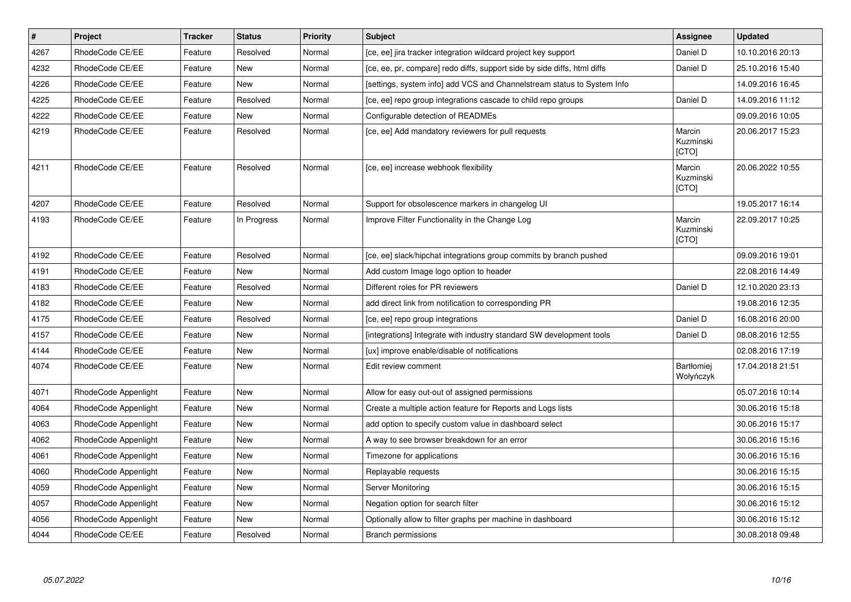| $\vert$ # | Project              | Tracker | <b>Status</b> | <b>Priority</b> | <b>Subject</b>                                                           | <b>Assignee</b>                     | <b>Updated</b>   |
|-----------|----------------------|---------|---------------|-----------------|--------------------------------------------------------------------------|-------------------------------------|------------------|
| 4267      | RhodeCode CE/EE      | Feature | Resolved      | Normal          | [ce, ee] jira tracker integration wildcard project key support           | Daniel D                            | 10.10.2016 20:13 |
| 4232      | RhodeCode CE/EE      | Feature | New           | Normal          | [ce, ee, pr, compare] redo diffs, support side by side diffs, html diffs | Daniel D                            | 25.10.2016 15:40 |
| 4226      | RhodeCode CE/EE      | Feature | New           | Normal          | [settings, system info] add VCS and Channelstream status to System Info  |                                     | 14.09.2016 16:45 |
| 4225      | RhodeCode CE/EE      | Feature | Resolved      | Normal          | [ce, ee] repo group integrations cascade to child repo groups            | Daniel D                            | 14.09.2016 11:12 |
| 4222      | RhodeCode CE/EE      | Feature | <b>New</b>    | Normal          | Configurable detection of READMEs                                        |                                     | 09.09.2016 10:05 |
| 4219      | RhodeCode CE/EE      | Feature | Resolved      | Normal          | [ce, ee] Add mandatory reviewers for pull requests                       | Marcin<br>Kuzminski<br>[CTO]        | 20.06.2017 15:23 |
| 4211      | RhodeCode CE/EE      | Feature | Resolved      | Normal          | [ce, ee] increase webhook flexibility                                    | Marcin<br>Kuzminski<br><b>[CTO]</b> | 20.06.2022 10:55 |
| 4207      | RhodeCode CE/EE      | Feature | Resolved      | Normal          | Support for obsolescence markers in changelog UI                         |                                     | 19.05.2017 16:14 |
| 4193      | RhodeCode CE/EE      | Feature | In Progress   | Normal          | Improve Filter Functionality in the Change Log                           | Marcin<br>Kuzminski<br><b>[CTO]</b> | 22.09.2017 10:25 |
| 4192      | RhodeCode CE/EE      | Feature | Resolved      | Normal          | [ce, ee] slack/hipchat integrations group commits by branch pushed       |                                     | 09.09.2016 19:01 |
| 4191      | RhodeCode CE/EE      | Feature | <b>New</b>    | Normal          | Add custom Image logo option to header                                   |                                     | 22.08.2016 14:49 |
| 4183      | RhodeCode CE/EE      | Feature | Resolved      | Normal          | Different roles for PR reviewers                                         | Daniel D                            | 12.10.2020 23:13 |
| 4182      | RhodeCode CE/EE      | Feature | <b>New</b>    | Normal          | add direct link from notification to corresponding PR                    |                                     | 19.08.2016 12:35 |
| 4175      | RhodeCode CE/EE      | Feature | Resolved      | Normal          | [ce, ee] repo group integrations                                         | Daniel D                            | 16.08.2016 20:00 |
| 4157      | RhodeCode CE/EE      | Feature | <b>New</b>    | Normal          | [integrations] Integrate with industry standard SW development tools     | Daniel D                            | 08.08.2016 12:55 |
| 4144      | RhodeCode CE/EE      | Feature | <b>New</b>    | Normal          | [ux] improve enable/disable of notifications                             |                                     | 02.08.2016 17:19 |
| 4074      | RhodeCode CE/EE      | Feature | <b>New</b>    | Normal          | Edit review comment                                                      | <b>Bartłomiej</b><br>Wołyńczyk      | 17.04.2018 21:51 |
| 4071      | RhodeCode Appenlight | Feature | <b>New</b>    | Normal          | Allow for easy out-out of assigned permissions                           |                                     | 05.07.2016 10:14 |
| 4064      | RhodeCode Appenlight | Feature | <b>New</b>    | Normal          | Create a multiple action feature for Reports and Logs lists              |                                     | 30.06.2016 15:18 |
| 4063      | RhodeCode Appenlight | Feature | New           | Normal          | add option to specify custom value in dashboard select                   |                                     | 30.06.2016 15:17 |
| 4062      | RhodeCode Appenlight | Feature | New           | Normal          | A way to see browser breakdown for an error                              |                                     | 30.06.2016 15:16 |
| 4061      | RhodeCode Appenlight | Feature | New           | Normal          | Timezone for applications                                                |                                     | 30.06.2016 15:16 |
| 4060      | RhodeCode Appenlight | Feature | New           | Normal          | Replayable requests                                                      |                                     | 30.06.2016 15:15 |
| 4059      | RhodeCode Appenlight | Feature | <b>New</b>    | Normal          | Server Monitoring                                                        |                                     | 30.06.2016 15:15 |
| 4057      | RhodeCode Appenlight | Feature | <b>New</b>    | Normal          | Negation option for search filter                                        |                                     | 30.06.2016 15:12 |
| 4056      | RhodeCode Appenlight | Feature | <b>New</b>    | Normal          | Optionally allow to filter graphs per machine in dashboard               |                                     | 30.06.2016 15:12 |
| 4044      | RhodeCode CE/EE      | Feature | Resolved      | Normal          | Branch permissions                                                       |                                     | 30.08.2018 09:48 |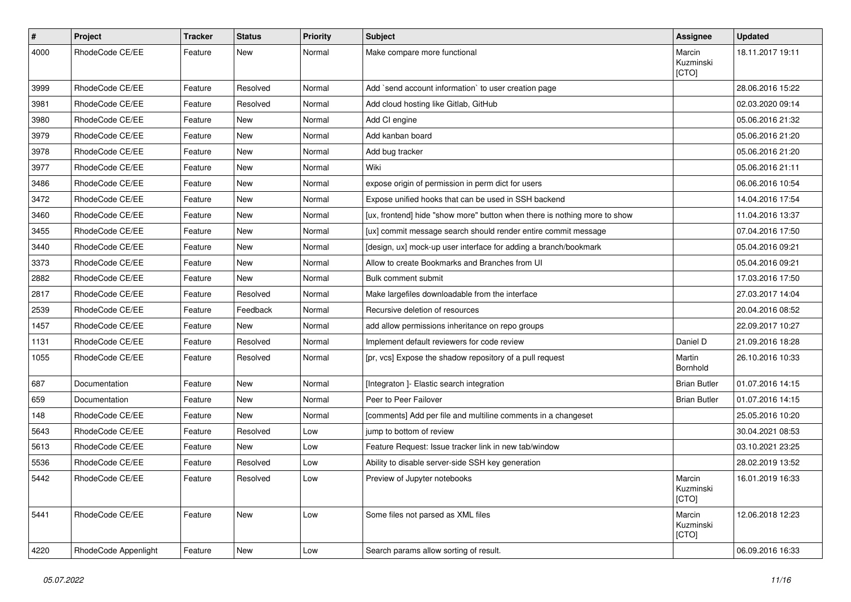| $\pmb{\#}$ | Project              | <b>Tracker</b> | <b>Status</b> | <b>Priority</b> | <b>Subject</b>                                                            | <b>Assignee</b>              | <b>Updated</b>   |
|------------|----------------------|----------------|---------------|-----------------|---------------------------------------------------------------------------|------------------------------|------------------|
| 4000       | RhodeCode CE/EE      | Feature        | New           | Normal          | Make compare more functional                                              | Marcin<br>Kuzminski<br>[CTO] | 18.11.2017 19:11 |
| 3999       | RhodeCode CE/EE      | Feature        | Resolved      | Normal          | Add `send account information` to user creation page                      |                              | 28.06.2016 15:22 |
| 3981       | RhodeCode CE/EE      | Feature        | Resolved      | Normal          | Add cloud hosting like Gitlab, GitHub                                     |                              | 02.03.2020 09:14 |
| 3980       | RhodeCode CE/EE      | Feature        | <b>New</b>    | Normal          | Add CI engine                                                             |                              | 05.06.2016 21:32 |
| 3979       | RhodeCode CE/EE      | Feature        | New           | Normal          | Add kanban board                                                          |                              | 05.06.2016 21:20 |
| 3978       | RhodeCode CE/EE      | Feature        | New           | Normal          | Add bug tracker                                                           |                              | 05.06.2016 21:20 |
| 3977       | RhodeCode CE/EE      | Feature        | New           | Normal          | Wiki                                                                      |                              | 05.06.2016 21:11 |
| 3486       | RhodeCode CE/EE      | Feature        | <b>New</b>    | Normal          | expose origin of permission in perm dict for users                        |                              | 06.06.2016 10:54 |
| 3472       | RhodeCode CE/EE      | Feature        | New           | Normal          | Expose unified hooks that can be used in SSH backend                      |                              | 14.04.2016 17:54 |
| 3460       | RhodeCode CE/EE      | Feature        | <b>New</b>    | Normal          | [ux, frontend] hide "show more" button when there is nothing more to show |                              | 11.04.2016 13:37 |
| 3455       | RhodeCode CE/EE      | Feature        | New           | Normal          | [ux] commit message search should render entire commit message            |                              | 07.04.2016 17:50 |
| 3440       | RhodeCode CE/EE      | Feature        | New           | Normal          | [design, ux] mock-up user interface for adding a branch/bookmark          |                              | 05.04.2016 09:21 |
| 3373       | RhodeCode CE/EE      | Feature        | New           | Normal          | Allow to create Bookmarks and Branches from UI                            |                              | 05.04.2016 09:21 |
| 2882       | RhodeCode CE/EE      | Feature        | <b>New</b>    | Normal          | Bulk comment submit                                                       |                              | 17.03.2016 17:50 |
| 2817       | RhodeCode CE/EE      | Feature        | Resolved      | Normal          | Make largefiles downloadable from the interface                           |                              | 27.03.2017 14:04 |
| 2539       | RhodeCode CE/EE      | Feature        | Feedback      | Normal          | Recursive deletion of resources                                           |                              | 20.04.2016 08:52 |
| 1457       | RhodeCode CE/EE      | Feature        | New           | Normal          | add allow permissions inheritance on repo groups                          |                              | 22.09.2017 10:27 |
| 1131       | RhodeCode CE/EE      | Feature        | Resolved      | Normal          | Implement default reviewers for code review                               | Daniel D                     | 21.09.2016 18:28 |
| 1055       | RhodeCode CE/EE      | Feature        | Resolved      | Normal          | [pr, vcs] Expose the shadow repository of a pull request                  | Martin<br>Bornhold           | 26.10.2016 10:33 |
| 687        | Documentation        | Feature        | New           | Normal          | [Integraton ]- Elastic search integration                                 | <b>Brian Butler</b>          | 01.07.2016 14:15 |
| 659        | Documentation        | Feature        | New           | Normal          | Peer to Peer Failover                                                     | <b>Brian Butler</b>          | 01.07.2016 14:15 |
| 148        | RhodeCode CE/EE      | Feature        | New           | Normal          | [comments] Add per file and multiline comments in a changeset             |                              | 25.05.2016 10:20 |
| 5643       | RhodeCode CE/EE      | Feature        | Resolved      | Low             | jump to bottom of review                                                  |                              | 30.04.2021 08:53 |
| 5613       | RhodeCode CE/EE      | Feature        | <b>New</b>    | Low             | Feature Request: Issue tracker link in new tab/window                     |                              | 03.10.2021 23:25 |
| 5536       | RhodeCode CE/EE      | Feature        | Resolved      | Low             | Ability to disable server-side SSH key generation                         |                              | 28.02.2019 13:52 |
| 5442       | RhodeCode CE/EE      | Feature        | Resolved      | Low             | Preview of Jupyter notebooks                                              | Marcin<br>Kuzminski<br>[CTO] | 16.01.2019 16:33 |
| 5441       | RhodeCode CE/EE      | Feature        | New           | Low             | Some files not parsed as XML files                                        | Marcin<br>Kuzminski<br>[CTO] | 12.06.2018 12:23 |
| 4220       | RhodeCode Appenlight | Feature        | New           | Low             | Search params allow sorting of result.                                    |                              | 06.09.2016 16:33 |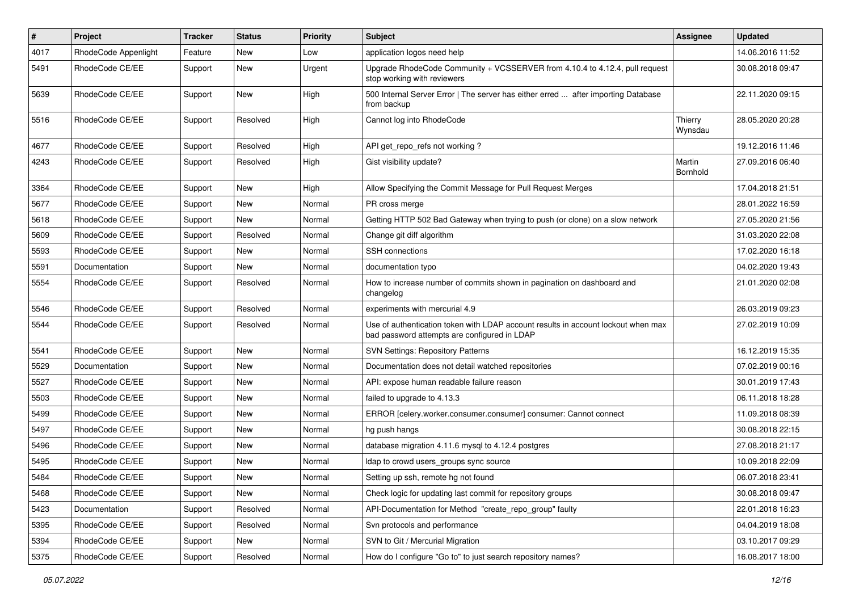| $\sharp$ | Project              | Tracker | <b>Status</b> | <b>Priority</b> | <b>Subject</b>                                                                                                                    | <b>Assignee</b>    | <b>Updated</b>   |
|----------|----------------------|---------|---------------|-----------------|-----------------------------------------------------------------------------------------------------------------------------------|--------------------|------------------|
| 4017     | RhodeCode Appenlight | Feature | New           | Low             | application logos need help                                                                                                       |                    | 14.06.2016 11:52 |
| 5491     | RhodeCode CE/EE      | Support | <b>New</b>    | Urgent          | Upgrade RhodeCode Community + VCSSERVER from 4.10.4 to 4.12.4, pull request<br>stop working with reviewers                        |                    | 30.08.2018 09:47 |
| 5639     | RhodeCode CE/EE      | Support | New           | High            | 500 Internal Server Error   The server has either erred  after importing Database<br>from backup                                  |                    | 22.11.2020 09:15 |
| 5516     | RhodeCode CE/EE      | Support | Resolved      | High            | Cannot log into RhodeCode                                                                                                         | Thierry<br>Wynsdau | 28.05.2020 20:28 |
| 4677     | RhodeCode CE/EE      | Support | Resolved      | High            | API get_repo_refs not working?                                                                                                    |                    | 19.12.2016 11:46 |
| 4243     | RhodeCode CE/EE      | Support | Resolved      | High            | Gist visibility update?                                                                                                           | Martin<br>Bornhold | 27.09.2016 06:40 |
| 3364     | RhodeCode CE/EE      | Support | New           | High            | Allow Specifying the Commit Message for Pull Request Merges                                                                       |                    | 17.04.2018 21:51 |
| 5677     | RhodeCode CE/EE      | Support | New           | Normal          | PR cross merge                                                                                                                    |                    | 28.01.2022 16:59 |
| 5618     | RhodeCode CE/EE      | Support | New           | Normal          | Getting HTTP 502 Bad Gateway when trying to push (or clone) on a slow network                                                     |                    | 27.05.2020 21:56 |
| 5609     | RhodeCode CE/EE      | Support | Resolved      | Normal          | Change git diff algorithm                                                                                                         |                    | 31.03.2020 22:08 |
| 5593     | RhodeCode CE/EE      | Support | New           | Normal          | <b>SSH</b> connections                                                                                                            |                    | 17.02.2020 16:18 |
| 5591     | Documentation        | Support | <b>New</b>    | Normal          | documentation typo                                                                                                                |                    | 04.02.2020 19:43 |
| 5554     | RhodeCode CE/EE      | Support | Resolved      | Normal          | How to increase number of commits shown in pagination on dashboard and<br>changelog                                               |                    | 21.01.2020 02:08 |
| 5546     | RhodeCode CE/EE      | Support | Resolved      | Normal          | experiments with mercurial 4.9                                                                                                    |                    | 26.03.2019 09:23 |
| 5544     | RhodeCode CE/EE      | Support | Resolved      | Normal          | Use of authentication token with LDAP account results in account lockout when max<br>bad password attempts are configured in LDAP |                    | 27.02.2019 10:09 |
| 5541     | RhodeCode CE/EE      | Support | New           | Normal          | <b>SVN Settings: Repository Patterns</b>                                                                                          |                    | 16.12.2019 15:35 |
| 5529     | Documentation        | Support | New           | Normal          | Documentation does not detail watched repositories                                                                                |                    | 07.02.2019 00:16 |
| 5527     | RhodeCode CE/EE      | Support | New           | Normal          | API: expose human readable failure reason                                                                                         |                    | 30.01.2019 17:43 |
| 5503     | RhodeCode CE/EE      | Support | New           | Normal          | failed to upgrade to 4.13.3                                                                                                       |                    | 06.11.2018 18:28 |
| 5499     | RhodeCode CE/EE      | Support | <b>New</b>    | Normal          | ERROR [celery.worker.consumer.consumer] consumer: Cannot connect                                                                  |                    | 11.09.2018 08:39 |
| 5497     | RhodeCode CE/EE      | Support | New           | Normal          | hg push hangs                                                                                                                     |                    | 30.08.2018 22:15 |
| 5496     | RhodeCode CE/EE      | Support | New           | Normal          | database migration 4.11.6 mysql to 4.12.4 postgres                                                                                |                    | 27.08.2018 21:17 |
| 5495     | RhodeCode CE/EE      | Support | New           | Normal          | Idap to crowd users_groups sync source                                                                                            |                    | 10.09.2018 22:09 |
| 5484     | RhodeCode CE/EE      | Support | New           | Normal          | Setting up ssh, remote hg not found                                                                                               |                    | 06.07.2018 23:41 |
| 5468     | RhodeCode CE/EE      | Support | New           | Normal          | Check logic for updating last commit for repository groups                                                                        |                    | 30.08.2018 09:47 |
| 5423     | Documentation        | Support | Resolved      | Normal          | API-Documentation for Method "create_repo_group" faulty                                                                           |                    | 22.01.2018 16:23 |
| 5395     | RhodeCode CE/EE      | Support | Resolved      | Normal          | Svn protocols and performance                                                                                                     |                    | 04.04.2019 18:08 |
| 5394     | RhodeCode CE/EE      | Support | New           | Normal          | SVN to Git / Mercurial Migration                                                                                                  |                    | 03.10.2017 09:29 |
| 5375     | RhodeCode CE/EE      | Support | Resolved      | Normal          | How do I configure "Go to" to just search repository names?                                                                       |                    | 16.08.2017 18:00 |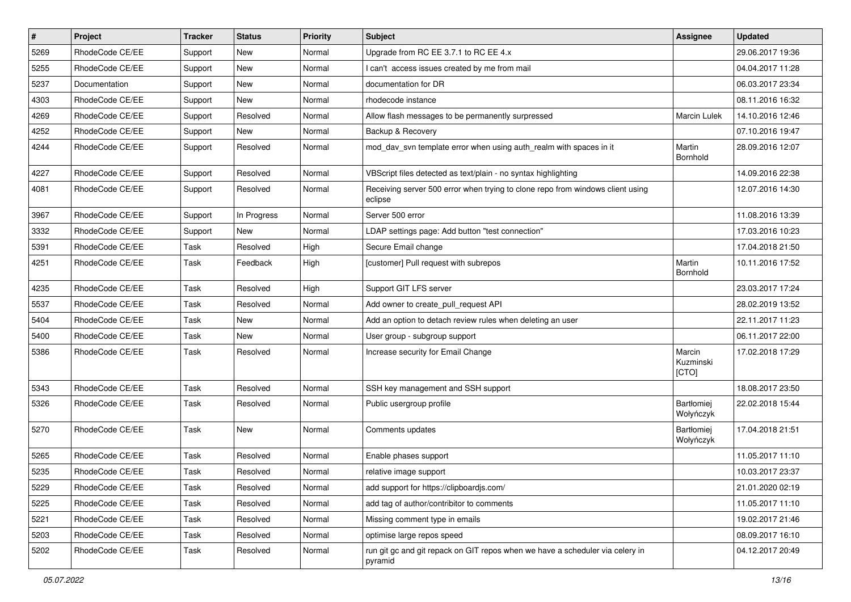| $\sharp$ | Project         | <b>Tracker</b> | <b>Status</b> | <b>Priority</b> | <b>Subject</b>                                                                            | <b>Assignee</b>              | <b>Updated</b>   |
|----------|-----------------|----------------|---------------|-----------------|-------------------------------------------------------------------------------------------|------------------------------|------------------|
| 5269     | RhodeCode CE/EE | Support        | New           | Normal          | Upgrade from RC EE 3.7.1 to RC EE 4.x                                                     |                              | 29.06.2017 19:36 |
| 5255     | RhodeCode CE/EE | Support        | New           | Normal          | I can't access issues created by me from mail                                             |                              | 04.04.2017 11:28 |
| 5237     | Documentation   | Support        | New           | Normal          | documentation for DR                                                                      |                              | 06.03.2017 23:34 |
| 4303     | RhodeCode CE/EE | Support        | <b>New</b>    | Normal          | rhodecode instance                                                                        |                              | 08.11.2016 16:32 |
| 4269     | RhodeCode CE/EE | Support        | Resolved      | Normal          | Allow flash messages to be permanently surpressed                                         | <b>Marcin Lulek</b>          | 14.10.2016 12:46 |
| 4252     | RhodeCode CE/EE | Support        | <b>New</b>    | Normal          | Backup & Recovery                                                                         |                              | 07.10.2016 19:47 |
| 4244     | RhodeCode CE/EE | Support        | Resolved      | Normal          | mod dav svn template error when using auth realm with spaces in it                        | Martin<br>Bornhold           | 28.09.2016 12:07 |
| 4227     | RhodeCode CE/EE | Support        | Resolved      | Normal          | VBScript files detected as text/plain - no syntax highlighting                            |                              | 14.09.2016 22:38 |
| 4081     | RhodeCode CE/EE | Support        | Resolved      | Normal          | Receiving server 500 error when trying to clone repo from windows client using<br>eclipse |                              | 12.07.2016 14:30 |
| 3967     | RhodeCode CE/EE | Support        | In Progress   | Normal          | Server 500 error                                                                          |                              | 11.08.2016 13:39 |
| 3332     | RhodeCode CE/EE | Support        | <b>New</b>    | Normal          | LDAP settings page: Add button "test connection"                                          |                              | 17.03.2016 10:23 |
| 5391     | RhodeCode CE/EE | Task           | Resolved      | High            | Secure Email change                                                                       |                              | 17.04.2018 21:50 |
| 4251     | RhodeCode CE/EE | Task           | Feedback      | High            | [customer] Pull request with subrepos                                                     | Martin<br>Bornhold           | 10.11.2016 17:52 |
| 4235     | RhodeCode CE/EE | Task           | Resolved      | High            | Support GIT LFS server                                                                    |                              | 23.03.2017 17:24 |
| 5537     | RhodeCode CE/EE | Task           | Resolved      | Normal          | Add owner to create_pull_request API                                                      |                              | 28.02.2019 13:52 |
| 5404     | RhodeCode CE/EE | Task           | <b>New</b>    | Normal          | Add an option to detach review rules when deleting an user                                |                              | 22.11.2017 11:23 |
| 5400     | RhodeCode CE/EE | Task           | New           | Normal          | User group - subgroup support                                                             |                              | 06.11.2017 22:00 |
| 5386     | RhodeCode CE/EE | Task           | Resolved      | Normal          | Increase security for Email Change                                                        | Marcin<br>Kuzminski<br>[CTO] | 17.02.2018 17:29 |
| 5343     | RhodeCode CE/EE | Task           | Resolved      | Normal          | SSH key management and SSH support                                                        |                              | 18.08.2017 23:50 |
| 5326     | RhodeCode CE/EE | Task           | Resolved      | Normal          | Public usergroup profile                                                                  | Bartłomiej<br>Wołyńczyk      | 22.02.2018 15:44 |
| 5270     | RhodeCode CE/EE | Task           | <b>New</b>    | Normal          | Comments updates                                                                          | Bartłomiej<br>Wołyńczyk      | 17.04.2018 21:51 |
| 5265     | RhodeCode CE/EE | Task           | Resolved      | Normal          | Enable phases support                                                                     |                              | 11.05.2017 11:10 |
| 5235     | RhodeCode CE/EE | Task           | Resolved      | Normal          | relative image support                                                                    |                              | 10.03.2017 23:37 |
| 5229     | RhodeCode CE/EE | Task           | Resolved      | Normal          | add support for https://clipboardjs.com/                                                  |                              | 21.01.2020 02:19 |
| 5225     | RhodeCode CE/EE | Task           | Resolved      | Normal          | add tag of author/contribitor to comments                                                 |                              | 11.05.2017 11:10 |
| 5221     | RhodeCode CE/EE | Task           | Resolved      | Normal          | Missing comment type in emails                                                            |                              | 19.02.2017 21:46 |
| 5203     | RhodeCode CE/EE | Task           | Resolved      | Normal          | optimise large repos speed                                                                |                              | 08.09.2017 16:10 |
| 5202     | RhodeCode CE/EE | Task           | Resolved      | Normal          | run git gc and git repack on GIT repos when we have a scheduler via celery in<br>pyramid  |                              | 04.12.2017 20:49 |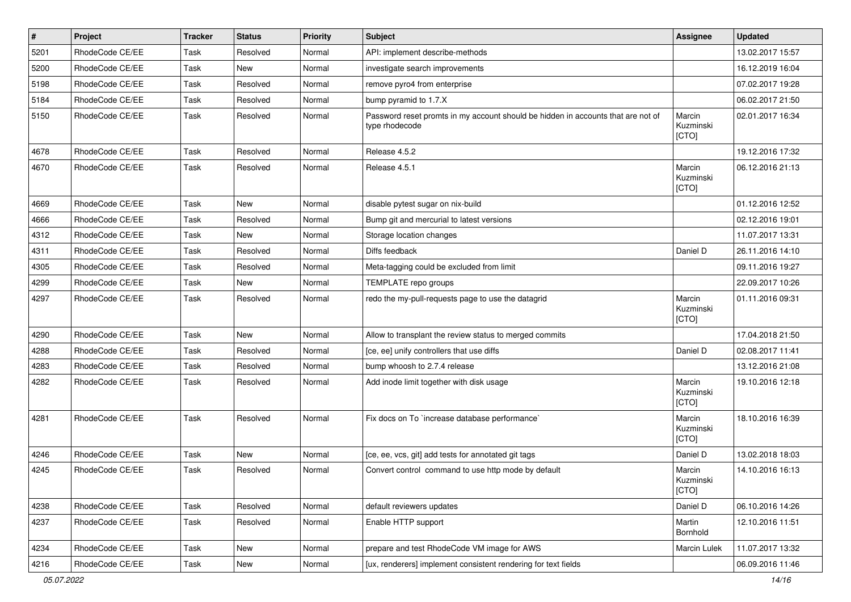| $\vert$ # | Project         | <b>Tracker</b> | <b>Status</b> | <b>Priority</b> | <b>Subject</b>                                                                                     | Assignee                     | <b>Updated</b>   |
|-----------|-----------------|----------------|---------------|-----------------|----------------------------------------------------------------------------------------------------|------------------------------|------------------|
| 5201      | RhodeCode CE/EE | Task           | Resolved      | Normal          | API: implement describe-methods                                                                    |                              | 13.02.2017 15:57 |
| 5200      | RhodeCode CE/EE | Task           | New           | Normal          | investigate search improvements                                                                    |                              | 16.12.2019 16:04 |
| 5198      | RhodeCode CE/EE | Task           | Resolved      | Normal          | remove pyro4 from enterprise                                                                       |                              | 07.02.2017 19:28 |
| 5184      | RhodeCode CE/EE | Task           | Resolved      | Normal          | bump pyramid to 1.7.X                                                                              |                              | 06.02.2017 21:50 |
| 5150      | RhodeCode CE/EE | Task           | Resolved      | Normal          | Password reset promts in my account should be hidden in accounts that are not of<br>type rhodecode | Marcin<br>Kuzminski<br>[CTO] | 02.01.2017 16:34 |
| 4678      | RhodeCode CE/EE | Task           | Resolved      | Normal          | Release 4.5.2                                                                                      |                              | 19.12.2016 17:32 |
| 4670      | RhodeCode CE/EE | Task           | Resolved      | Normal          | Release 4.5.1                                                                                      | Marcin<br>Kuzminski<br>[CTO] | 06.12.2016 21:13 |
| 4669      | RhodeCode CE/EE | Task           | <b>New</b>    | Normal          | disable pytest sugar on nix-build                                                                  |                              | 01.12.2016 12:52 |
| 4666      | RhodeCode CE/EE | Task           | Resolved      | Normal          | Bump git and mercurial to latest versions                                                          |                              | 02.12.2016 19:01 |
| 4312      | RhodeCode CE/EE | Task           | New           | Normal          | Storage location changes                                                                           |                              | 11.07.2017 13:31 |
| 4311      | RhodeCode CE/EE | Task           | Resolved      | Normal          | Diffs feedback                                                                                     | Daniel D                     | 26.11.2016 14:10 |
| 4305      | RhodeCode CE/EE | Task           | Resolved      | Normal          | Meta-tagging could be excluded from limit                                                          |                              | 09.11.2016 19:27 |
| 4299      | RhodeCode CE/EE | Task           | New           | Normal          | TEMPLATE repo groups                                                                               |                              | 22.09.2017 10:26 |
| 4297      | RhodeCode CE/EE | Task           | Resolved      | Normal          | redo the my-pull-requests page to use the datagrid                                                 | Marcin<br>Kuzminski<br>[CTO] | 01.11.2016 09:31 |
| 4290      | RhodeCode CE/EE | Task           | <b>New</b>    | Normal          | Allow to transplant the review status to merged commits                                            |                              | 17.04.2018 21:50 |
| 4288      | RhodeCode CE/EE | Task           | Resolved      | Normal          | [ce, ee] unify controllers that use diffs                                                          | Daniel D                     | 02.08.2017 11:41 |
| 4283      | RhodeCode CE/EE | Task           | Resolved      | Normal          | bump whoosh to 2.7.4 release                                                                       |                              | 13.12.2016 21:08 |
| 4282      | RhodeCode CE/EE | Task           | Resolved      | Normal          | Add inode limit together with disk usage                                                           | Marcin<br>Kuzminski<br>[CTO] | 19.10.2016 12:18 |
| 4281      | RhodeCode CE/EE | <b>Task</b>    | Resolved      | Normal          | Fix docs on To `increase database performance`                                                     | Marcin<br>Kuzminski<br>[CTO] | 18.10.2016 16:39 |
| 4246      | RhodeCode CE/EE | <b>Task</b>    | <b>New</b>    | Normal          | [ce, ee, vcs, git] add tests for annotated git tags                                                | Daniel D                     | 13.02.2018 18:03 |
| 4245      | RhodeCode CE/EE | Task           | Resolved      | Normal          | Convert control command to use http mode by default                                                | Marcin<br>Kuzminski<br>[CTO] | 14.10.2016 16:13 |
| 4238      | RhodeCode CE/EE | Task           | Resolved      | Normal          | default reviewers updates                                                                          | Daniel D                     | 06.10.2016 14:26 |
| 4237      | RhodeCode CE/EE | Task           | Resolved      | Normal          | Enable HTTP support                                                                                | Martin<br>Bornhold           | 12.10.2016 11:51 |
| 4234      | RhodeCode CE/EE | Task           | New           | Normal          | prepare and test RhodeCode VM image for AWS                                                        | Marcin Lulek                 | 11.07.2017 13:32 |
| 4216      | RhodeCode CE/EE | Task           | New           | Normal          | [ux, renderers] implement consistent rendering for text fields                                     |                              | 06.09.2016 11:46 |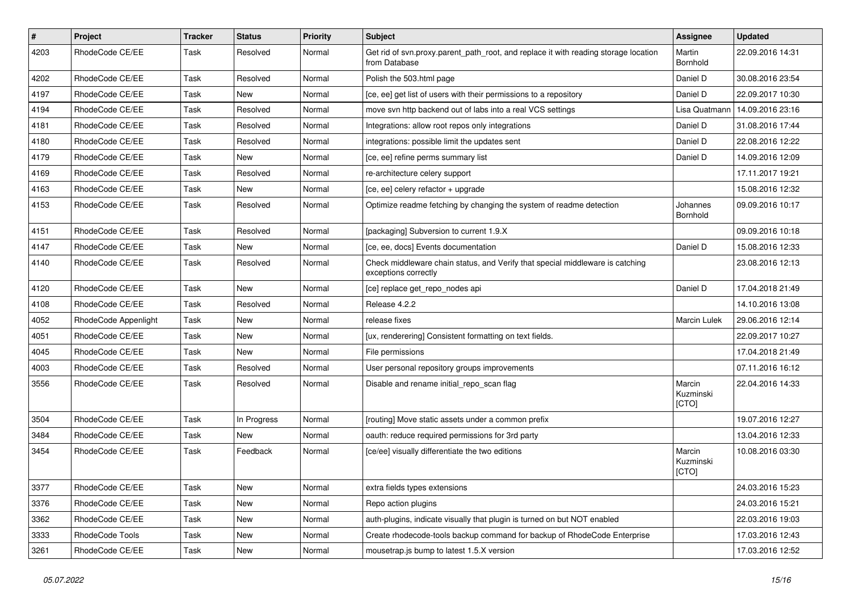| #    | Project              | <b>Tracker</b> | <b>Status</b> | <b>Priority</b> | <b>Subject</b>                                                                                        | <b>Assignee</b>              | <b>Updated</b>   |
|------|----------------------|----------------|---------------|-----------------|-------------------------------------------------------------------------------------------------------|------------------------------|------------------|
| 4203 | RhodeCode CE/EE      | Task           | Resolved      | Normal          | Get rid of syn.proxy.parent path root, and replace it with reading storage location<br>from Database  | Martin<br>Bornhold           | 22.09.2016 14:31 |
| 4202 | RhodeCode CE/EE      | Task           | Resolved      | Normal          | Polish the 503.html page                                                                              | Daniel D                     | 30.08.2016 23:54 |
| 4197 | RhodeCode CE/EE      | Task           | New           | Normal          | [ce, ee] get list of users with their permissions to a repository                                     | Daniel D                     | 22.09.2017 10:30 |
| 4194 | RhodeCode CE/EE      | Task           | Resolved      | Normal          | move svn http backend out of labs into a real VCS settings                                            | Lisa Quatmann                | 14.09.2016 23:16 |
| 4181 | RhodeCode CE/EE      | Task           | Resolved      | Normal          | Integrations: allow root repos only integrations                                                      | Daniel D                     | 31.08.2016 17:44 |
| 4180 | RhodeCode CE/EE      | Task           | Resolved      | Normal          | integrations: possible limit the updates sent                                                         | Daniel D                     | 22.08.2016 12:22 |
| 4179 | RhodeCode CE/EE      | Task           | New           | Normal          | [ce, ee] refine perms summary list                                                                    | Daniel D                     | 14.09.2016 12:09 |
| 4169 | RhodeCode CE/EE      | Task           | Resolved      | Normal          | re-architecture celery support                                                                        |                              | 17.11.2017 19:21 |
| 4163 | RhodeCode CE/EE      | Task           | <b>New</b>    | Normal          | [ce, ee] celery refactor + upgrade                                                                    |                              | 15.08.2016 12:32 |
| 4153 | RhodeCode CE/EE      | Task           | Resolved      | Normal          | Optimize readme fetching by changing the system of readme detection                                   | Johannes<br>Bornhold         | 09.09.2016 10:17 |
| 4151 | RhodeCode CE/EE      | Task           | Resolved      | Normal          | [packaging] Subversion to current 1.9.X                                                               |                              | 09.09.2016 10:18 |
| 4147 | RhodeCode CE/EE      | Task           | New           | Normal          | [ce, ee, docs] Events documentation                                                                   | Daniel D                     | 15.08.2016 12:33 |
| 4140 | RhodeCode CE/EE      | Task           | Resolved      | Normal          | Check middleware chain status, and Verify that special middleware is catching<br>exceptions correctly |                              | 23.08.2016 12:13 |
| 4120 | RhodeCode CE/EE      | Task           | <b>New</b>    | Normal          | [ce] replace get_repo_nodes api                                                                       | Daniel D                     | 17.04.2018 21:49 |
| 4108 | RhodeCode CE/EE      | Task           | Resolved      | Normal          | Release 4.2.2                                                                                         |                              | 14.10.2016 13:08 |
| 4052 | RhodeCode Appenlight | Task           | New           | Normal          | release fixes                                                                                         | <b>Marcin Lulek</b>          | 29.06.2016 12:14 |
| 4051 | RhodeCode CE/EE      | Task           | New           | Normal          | [ux, renderering] Consistent formatting on text fields.                                               |                              | 22.09.2017 10:27 |
| 4045 | RhodeCode CE/EE      | Task           | <b>New</b>    | Normal          | File permissions                                                                                      |                              | 17.04.2018 21:49 |
| 4003 | RhodeCode CE/EE      | Task           | Resolved      | Normal          | User personal repository groups improvements                                                          |                              | 07.11.2016 16:12 |
| 3556 | RhodeCode CE/EE      | Task           | Resolved      | Normal          | Disable and rename initial_repo_scan flag                                                             | Marcin<br>Kuzminski<br>[CTO] | 22.04.2016 14:33 |
| 3504 | RhodeCode CE/EE      | Task           | In Progress   | Normal          | [routing] Move static assets under a common prefix                                                    |                              | 19.07.2016 12:27 |
| 3484 | RhodeCode CE/EE      | Task           | New           | Normal          | oauth: reduce required permissions for 3rd party                                                      |                              | 13.04.2016 12:33 |
| 3454 | RhodeCode CE/EE      | Task           | Feedback      | Normal          | [ce/ee] visually differentiate the two editions                                                       | Marcin<br>Kuzminski<br>[CTO] | 10.08.2016 03:30 |
| 3377 | RhodeCode CE/EE      | Task           | New           | Normal          | extra fields types extensions                                                                         |                              | 24.03.2016 15:23 |
| 3376 | RhodeCode CE/EE      | Task           | New           | Normal          | Repo action plugins                                                                                   |                              | 24.03.2016 15:21 |
| 3362 | RhodeCode CE/EE      | Task           | New           | Normal          | auth-plugins, indicate visually that plugin is turned on but NOT enabled                              |                              | 22.03.2016 19:03 |
| 3333 | RhodeCode Tools      | Task           | New           | Normal          | Create rhodecode-tools backup command for backup of RhodeCode Enterprise                              |                              | 17.03.2016 12:43 |
| 3261 | RhodeCode CE/EE      | Task           | New           | Normal          | mousetrap.js bump to latest 1.5.X version                                                             |                              | 17.03.2016 12:52 |